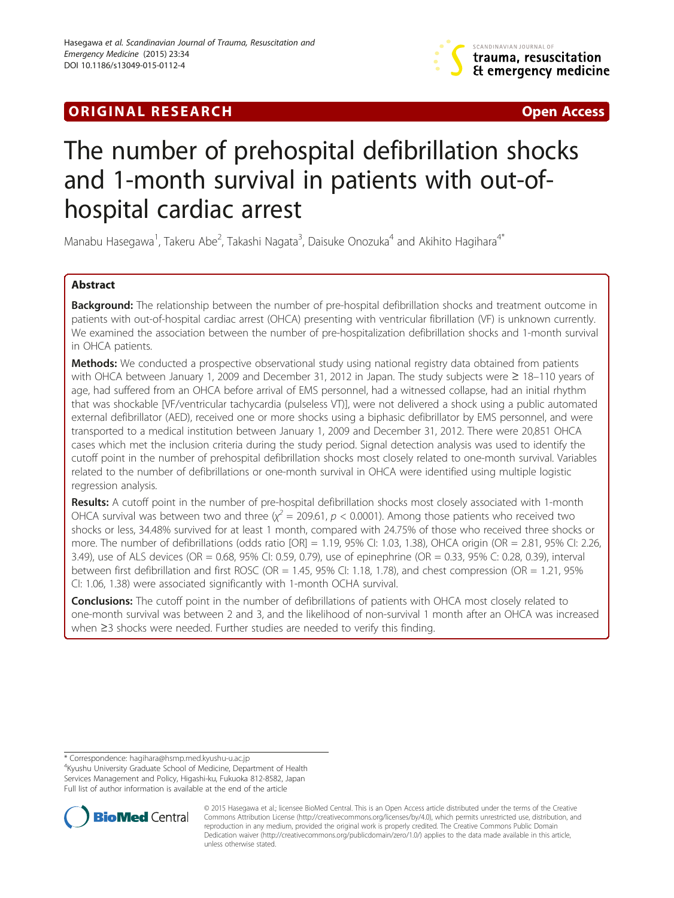## **ORIGINAL RESEARCH CONFIDENTIAL CONSUMING A LIGHT CONFIDENTIAL CONSUMING A LIGHT CONFIDENTIAL CONFIDENTIAL CONSU**



# The number of prehospital defibrillation shocks and 1-month survival in patients with out-ofhospital cardiac arrest

Manabu Hasegawa<sup>1</sup>, Takeru Abe<sup>2</sup>, Takashi Nagata<sup>3</sup>, Daisuke Onozuka<sup>4</sup> and Akihito Hagihara<sup>4\*</sup>

## Abstract

Background: The relationship between the number of pre-hospital defibrillation shocks and treatment outcome in patients with out-of-hospital cardiac arrest (OHCA) presenting with ventricular fibrillation (VF) is unknown currently. We examined the association between the number of pre-hospitalization defibrillation shocks and 1-month survival in OHCA patients.

Methods: We conducted a prospective observational study using national registry data obtained from patients with OHCA between January 1, 2009 and December 31, 2012 in Japan. The study subjects were ≥ 18–110 years of age, had suffered from an OHCA before arrival of EMS personnel, had a witnessed collapse, had an initial rhythm that was shockable [VF/ventricular tachycardia (pulseless VT)], were not delivered a shock using a public automated external defibrillator (AED), received one or more shocks using a biphasic defibrillator by EMS personnel, and were transported to a medical institution between January 1, 2009 and December 31, 2012. There were 20,851 OHCA cases which met the inclusion criteria during the study period. Signal detection analysis was used to identify the cutoff point in the number of prehospital defibrillation shocks most closely related to one-month survival. Variables related to the number of defibrillations or one-month survival in OHCA were identified using multiple logistic regression analysis.

Results: A cutoff point in the number of pre-hospital defibrillation shocks most closely associated with 1-month OHCA survival was between two and three  $\chi^2 = 209.61$ ,  $p < 0.0001$ ). Among those patients who received two shocks or less, 34.48% survived for at least 1 month, compared with 24.75% of those who received three shocks or more. The number of defibrillations (odds ratio [OR] = 1.19, 95% CI: 1.03, 1.38), OHCA origin (OR = 2.81, 95% CI: 2.26, 3.49), use of ALS devices (OR = 0.68, 95% CI: 0.59, 0.79), use of epinephrine (OR = 0.33, 95% C: 0.28, 0.39), interval between first defibrillation and first ROSC (OR = 1.45, 95% CI: 1.18, 1.78), and chest compression (OR = 1.21, 95% CI: 1.06, 1.38) were associated significantly with 1-month OCHA survival.

**Conclusions:** The cutoff point in the number of defibrillations of patients with OHCA most closely related to one-month survival was between 2 and 3, and the likelihood of non-survival 1 month after an OHCA was increased when ≥3 shocks were needed. Further studies are needed to verify this finding.

<sup>4</sup>Kyushu University Graduate School of Medicine, Department of Health Services Management and Policy, Higashi-ku, Fukuoka 812-8582, Japan Full list of author information is available at the end of the article



© 2015 Hasegawa et al.; licensee BioMed Central. This is an Open Access article distributed under the terms of the Creative Commons Attribution License [\(http://creativecommons.org/licenses/by/4.0\)](http://creativecommons.org/licenses/by/4.0), which permits unrestricted use, distribution, and reproduction in any medium, provided the original work is properly credited. The Creative Commons Public Domain Dedication waiver [\(http://creativecommons.org/publicdomain/zero/1.0/](http://creativecommons.org/publicdomain/zero/1.0/)) applies to the data made available in this article, unless otherwise stated.

<sup>\*</sup> Correspondence: [hagihara@hsmp.med.kyushu-u.ac.jp](mailto:hagihara@hsmp.med.kyushu-u.ac.jp) <sup>4</sup>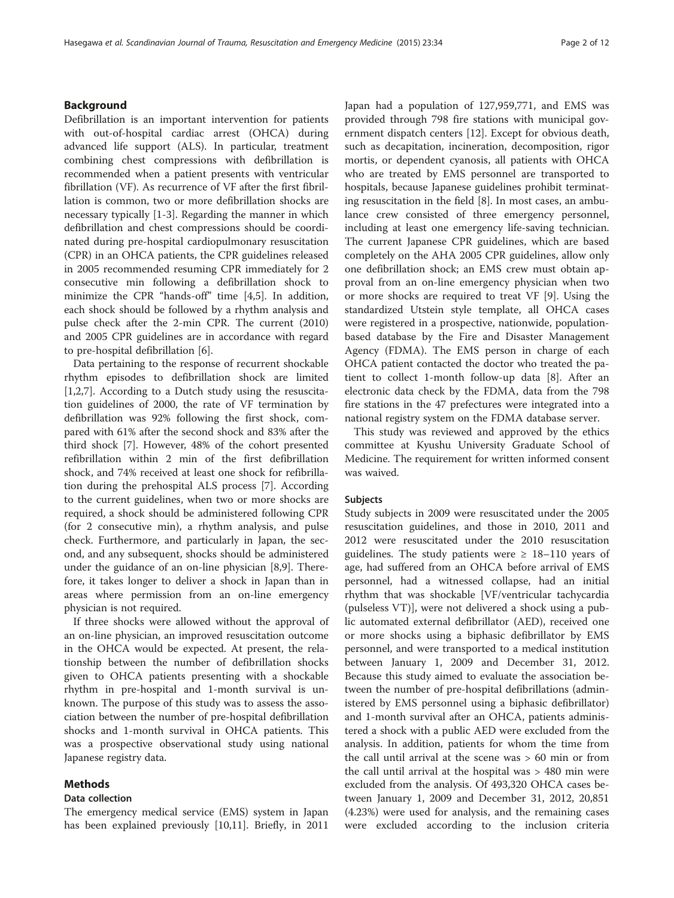## Background

Defibrillation is an important intervention for patients with out-of-hospital cardiac arrest (OHCA) during advanced life support (ALS). In particular, treatment combining chest compressions with defibrillation is recommended when a patient presents with ventricular fibrillation (VF). As recurrence of VF after the first fibrillation is common, two or more defibrillation shocks are necessary typically [\[1](#page-11-0)-[3\]](#page-11-0). Regarding the manner in which defibrillation and chest compressions should be coordinated during pre-hospital cardiopulmonary resuscitation (CPR) in an OHCA patients, the CPR guidelines released in 2005 recommended resuming CPR immediately for 2 consecutive min following a defibrillation shock to minimize the CPR "hands-off" time [[4,5\]](#page-11-0). In addition, each shock should be followed by a rhythm analysis and pulse check after the 2-min CPR. The current (2010) and 2005 CPR guidelines are in accordance with regard to pre-hospital defibrillation [\[6](#page-11-0)].

Data pertaining to the response of recurrent shockable rhythm episodes to defibrillation shock are limited [[1,2,7\]](#page-11-0). According to a Dutch study using the resuscitation guidelines of 2000, the rate of VF termination by defibrillation was 92% following the first shock, compared with 61% after the second shock and 83% after the third shock [\[7\]](#page-11-0). However, 48% of the cohort presented refibrillation within 2 min of the first defibrillation shock, and 74% received at least one shock for refibrillation during the prehospital ALS process [[7\]](#page-11-0). According to the current guidelines, when two or more shocks are required, a shock should be administered following CPR (for 2 consecutive min), a rhythm analysis, and pulse check. Furthermore, and particularly in Japan, the second, and any subsequent, shocks should be administered under the guidance of an on-line physician [\[8,9\]](#page-11-0). Therefore, it takes longer to deliver a shock in Japan than in areas where permission from an on-line emergency physician is not required.

If three shocks were allowed without the approval of an on-line physician, an improved resuscitation outcome in the OHCA would be expected. At present, the relationship between the number of defibrillation shocks given to OHCA patients presenting with a shockable rhythm in pre-hospital and 1-month survival is unknown. The purpose of this study was to assess the association between the number of pre-hospital defibrillation shocks and 1-month survival in OHCA patients. This was a prospective observational study using national Japanese registry data.

## Methods

## Data collection

The emergency medical service (EMS) system in Japan has been explained previously [[10,11\]](#page-11-0). Briefly, in 2011

Japan had a population of 127,959,771, and EMS was provided through 798 fire stations with municipal government dispatch centers [\[12](#page-11-0)]. Except for obvious death, such as decapitation, incineration, decomposition, rigor mortis, or dependent cyanosis, all patients with OHCA who are treated by EMS personnel are transported to hospitals, because Japanese guidelines prohibit terminating resuscitation in the field [\[8](#page-11-0)]. In most cases, an ambulance crew consisted of three emergency personnel, including at least one emergency life-saving technician. The current Japanese CPR guidelines, which are based completely on the AHA 2005 CPR guidelines, allow only one defibrillation shock; an EMS crew must obtain approval from an on-line emergency physician when two or more shocks are required to treat VF [[9\]](#page-11-0). Using the standardized Utstein style template, all OHCA cases were registered in a prospective, nationwide, populationbased database by the Fire and Disaster Management Agency (FDMA). The EMS person in charge of each OHCA patient contacted the doctor who treated the patient to collect 1-month follow-up data [\[8](#page-11-0)]. After an electronic data check by the FDMA, data from the 798 fire stations in the 47 prefectures were integrated into a national registry system on the FDMA database server.

This study was reviewed and approved by the ethics committee at Kyushu University Graduate School of Medicine. The requirement for written informed consent was waived.

#### Subjects

Study subjects in 2009 were resuscitated under the 2005 resuscitation guidelines, and those in 2010, 2011 and 2012 were resuscitated under the 2010 resuscitation guidelines. The study patients were  $\geq 18-110$  years of age, had suffered from an OHCA before arrival of EMS personnel, had a witnessed collapse, had an initial rhythm that was shockable [VF/ventricular tachycardia (pulseless VT)], were not delivered a shock using a public automated external defibrillator (AED), received one or more shocks using a biphasic defibrillator by EMS personnel, and were transported to a medical institution between January 1, 2009 and December 31, 2012. Because this study aimed to evaluate the association between the number of pre-hospital defibrillations (administered by EMS personnel using a biphasic defibrillator) and 1-month survival after an OHCA, patients administered a shock with a public AED were excluded from the analysis. In addition, patients for whom the time from the call until arrival at the scene was > 60 min or from the call until arrival at the hospital was > 480 min were excluded from the analysis. Of 493,320 OHCA cases between January 1, 2009 and December 31, 2012, 20,851 (4.23%) were used for analysis, and the remaining cases were excluded according to the inclusion criteria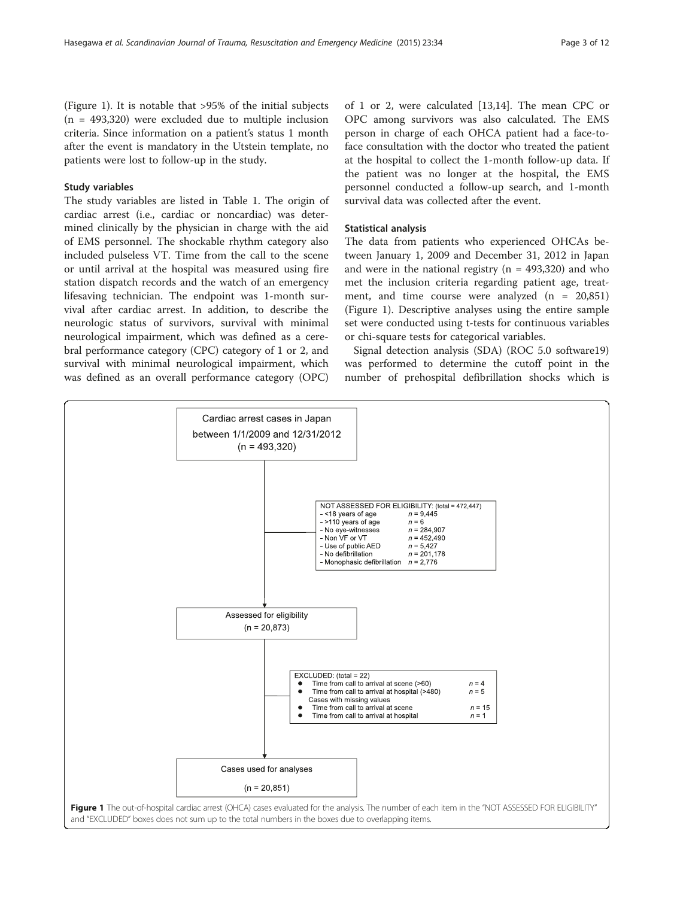(Figure 1). It is notable that >95% of the initial subjects  $(n = 493,320)$  were excluded due to multiple inclusion criteria. Since information on a patient's status 1 month after the event is mandatory in the Utstein template, no patients were lost to follow-up in the study.

## Study variables

The study variables are listed in Table [1.](#page-3-0) The origin of cardiac arrest (i.e., cardiac or noncardiac) was determined clinically by the physician in charge with the aid of EMS personnel. The shockable rhythm category also included pulseless VT. Time from the call to the scene or until arrival at the hospital was measured using fire station dispatch records and the watch of an emergency lifesaving technician. The endpoint was 1-month survival after cardiac arrest. In addition, to describe the neurologic status of survivors, survival with minimal neurological impairment, which was defined as a cerebral performance category (CPC) category of 1 or 2, and survival with minimal neurological impairment, which was defined as an overall performance category (OPC)

of 1 or 2, were calculated [[13,14\]](#page-11-0). The mean CPC or OPC among survivors was also calculated. The EMS person in charge of each OHCA patient had a face-toface consultation with the doctor who treated the patient at the hospital to collect the 1-month follow-up data. If the patient was no longer at the hospital, the EMS personnel conducted a follow-up search, and 1-month survival data was collected after the event.

## Statistical analysis

The data from patients who experienced OHCAs between January 1, 2009 and December 31, 2012 in Japan and were in the national registry  $(n = 493,320)$  and who met the inclusion criteria regarding patient age, treatment, and time course were analyzed  $(n = 20,851)$ (Figure 1). Descriptive analyses using the entire sample set were conducted using t-tests for continuous variables or chi-square tests for categorical variables.

Signal detection analysis (SDA) (ROC 5.0 software19) was performed to determine the cutoff point in the number of prehospital defibrillation shocks which is

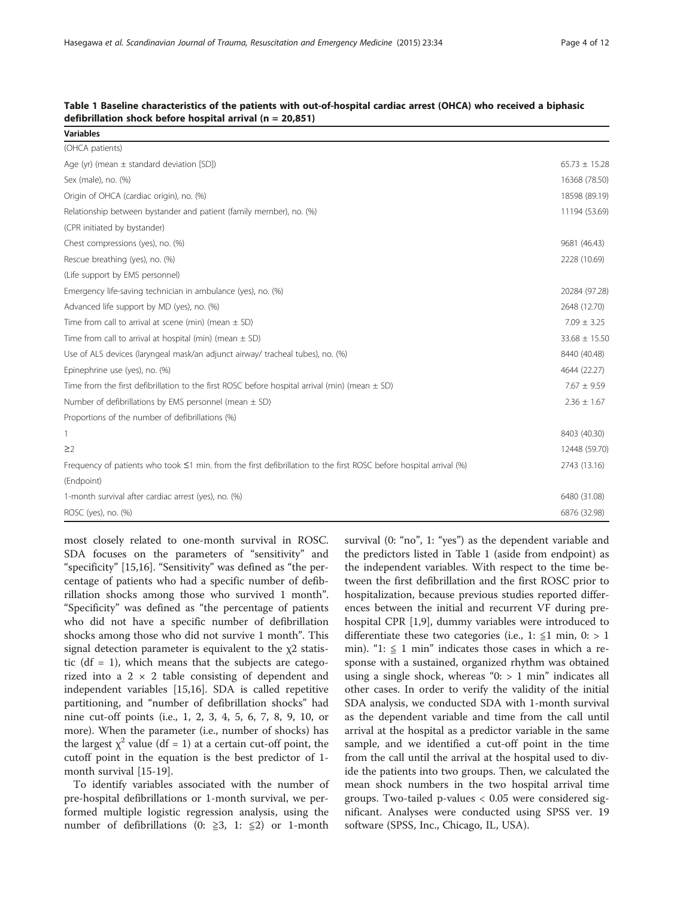| <b>Variables</b>                                                                                                   |                   |
|--------------------------------------------------------------------------------------------------------------------|-------------------|
| (OHCA patients)                                                                                                    |                   |
| Age (yr) (mean $\pm$ standard deviation [SD])                                                                      | $65.73 \pm 15.28$ |
| Sex (male), no. (%)                                                                                                | 16368 (78.50)     |
| Origin of OHCA (cardiac origin), no. (%)                                                                           | 18598 (89.19)     |
| Relationship between bystander and patient (family member), no. (%)                                                | 11194 (53.69)     |
| (CPR initiated by bystander)                                                                                       |                   |
| Chest compressions (yes), no. (%)                                                                                  | 9681 (46.43)      |
| Rescue breathing (yes), no. (%)                                                                                    | 2228 (10.69)      |
| (Life support by EMS personnel)                                                                                    |                   |
| Emergency life-saving technician in ambulance (yes), no. (%)                                                       | 20284 (97.28)     |
| Advanced life support by MD (yes), no. (%)                                                                         | 2648 (12.70)      |
| Time from call to arrival at scene (min) (mean $\pm$ SD)                                                           | $7.09 \pm 3.25$   |
| Time from call to arrival at hospital (min) (mean $\pm$ SD)                                                        | $33.68 \pm 15.50$ |
| Use of ALS devices (laryngeal mask/an adjunct airway/ tracheal tubes), no. (%)                                     | 8440 (40.48)      |
| Epinephrine use (yes), no. (%)                                                                                     | 4644 (22.27)      |
| Time from the first defibrillation to the first ROSC before hospital arrival (min) (mean $\pm$ SD)                 | $7.67 \pm 9.59$   |
| Number of defibrillations by EMS personnel (mean $\pm$ SD)                                                         | $2.36 \pm 1.67$   |
| Proportions of the number of defibrillations (%)                                                                   |                   |
| 1                                                                                                                  | 8403 (40.30)      |
| $\geq$ 2                                                                                                           | 12448 (59.70)     |
| Frequency of patients who took ≤1 min. from the first defibrillation to the first ROSC before hospital arrival (%) | 2743 (13.16)      |
| (Endpoint)                                                                                                         |                   |
| 1-month survival after cardiac arrest (yes), no. (%)                                                               | 6480 (31.08)      |
| ROSC (yes), no. (%)                                                                                                | 6876 (32.98)      |

<span id="page-3-0"></span>

|  | Table 1 Baseline characteristics of the patients with out-of-hospital cardiac arrest (OHCA) who received a biphasic |  |  |  |  |  |
|--|---------------------------------------------------------------------------------------------------------------------|--|--|--|--|--|
|  | defibrillation shock before hospital arrival $(n = 20.851)$                                                         |  |  |  |  |  |

most closely related to one-month survival in ROSC. SDA focuses on the parameters of "sensitivity" and "specificity" [\[15,16](#page-11-0)]. "Sensitivity" was defined as "the percentage of patients who had a specific number of defibrillation shocks among those who survived 1 month". "Specificity" was defined as "the percentage of patients who did not have a specific number of defibrillation shocks among those who did not survive 1 month". This signal detection parameter is equivalent to the  $\chi$ 2 statistic ( $df = 1$ ), which means that the subjects are categorized into a  $2 \times 2$  table consisting of dependent and independent variables [\[15,16\]](#page-11-0). SDA is called repetitive partitioning, and "number of defibrillation shocks" had nine cut-off points (i.e., 1, 2, 3, 4, 5, 6, 7, 8, 9, 10, or more). When the parameter (i.e., number of shocks) has the largest  $\chi^2$  value (df = 1) at a certain cut-off point, the cutoff point in the equation is the best predictor of 1 month survival [[15](#page-11-0)-[19\]](#page-11-0).

To identify variables associated with the number of pre-hospital defibrillations or 1-month survival, we performed multiple logistic regression analysis, using the number of defibrillations (0:  $\geq$ 3, 1:  $\leq$ 2) or 1-month survival (0: "no", 1: "yes") as the dependent variable and the predictors listed in Table 1 (aside from endpoint) as the independent variables. With respect to the time between the first defibrillation and the first ROSC prior to hospitalization, because previous studies reported differences between the initial and recurrent VF during prehospital CPR [\[1,9](#page-11-0)], dummy variables were introduced to differentiate these two categories (i.e., 1:  $\leq$ 1 min, 0: > 1 min). "1:  $\leq$  1 min" indicates those cases in which a response with a sustained, organized rhythm was obtained using a single shock, whereas " $0:$  > 1 min" indicates all other cases. In order to verify the validity of the initial SDA analysis, we conducted SDA with 1-month survival as the dependent variable and time from the call until arrival at the hospital as a predictor variable in the same sample, and we identified a cut-off point in the time from the call until the arrival at the hospital used to divide the patients into two groups. Then, we calculated the mean shock numbers in the two hospital arrival time groups. Two-tailed p-values < 0.05 were considered significant. Analyses were conducted using SPSS ver. 19 software (SPSS, Inc., Chicago, IL, USA).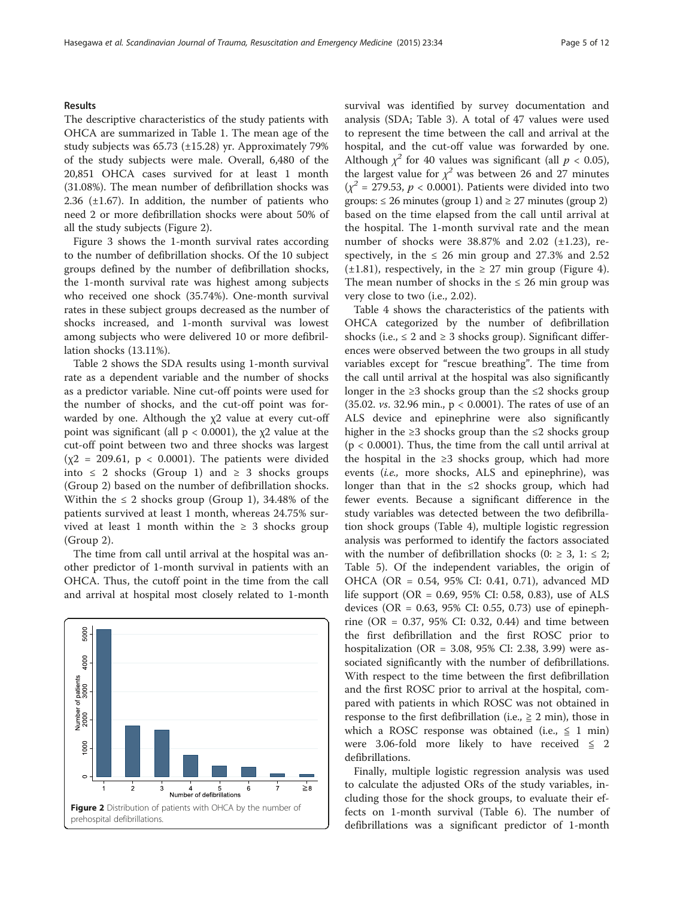#### **Results**

The descriptive characteristics of the study patients with OHCA are summarized in Table [1](#page-3-0). The mean age of the study subjects was 65.73 (±15.28) yr. Approximately 79% of the study subjects were male. Overall, 6,480 of the 20,851 OHCA cases survived for at least 1 month (31.08%). The mean number of defibrillation shocks was 2.36  $(\pm 1.67)$ . In addition, the number of patients who need 2 or more defibrillation shocks were about 50% of all the study subjects (Figure 2).

Figure [3](#page-5-0) shows the 1-month survival rates according to the number of defibrillation shocks. Of the 10 subject groups defined by the number of defibrillation shocks, the 1-month survival rate was highest among subjects who received one shock (35.74%). One-month survival rates in these subject groups decreased as the number of shocks increased, and 1-month survival was lowest among subjects who were delivered 10 or more defibrillation shocks (13.11%).

Table [2](#page-5-0) shows the SDA results using 1-month survival rate as a dependent variable and the number of shocks as a predictor variable. Nine cut-off points were used for the number of shocks, and the cut-off point was forwarded by one. Although the  $x^2$  value at every cut-off point was significant (all  $p < 0.0001$ ), the  $\chi$ 2 value at the cut-off point between two and three shocks was largest  $(\chi^2 = 209.61, p < 0.0001)$ . The patients were divided into ≤ 2 shocks (Group 1) and ≥ 3 shocks groups (Group 2) based on the number of defibrillation shocks. Within the  $\leq 2$  shocks group (Group 1), 34.48% of the patients survived at least 1 month, whereas 24.75% survived at least 1 month within the  $\geq$  3 shocks group (Group 2).

The time from call until arrival at the hospital was another predictor of 1-month survival in patients with an OHCA. Thus, the cutoff point in the time from the call and arrival at hospital most closely related to 1-month



survival was identified by survey documentation and analysis (SDA; Table [3](#page-6-0)). A total of 47 values were used to represent the time between the call and arrival at the hospital, and the cut-off value was forwarded by one. Although  $\chi^2$  for 40 values was significant (all  $p < 0.05$ ), the largest value for  $\chi^2$  was between 26 and 27 minutes  $(x^2 = 279.53, p < 0.0001)$ . Patients were divided into two groups:  $\leq 26$  minutes (group 1) and  $\geq 27$  minutes (group 2) based on the time elapsed from the call until arrival at the hospital. The 1-month survival rate and the mean number of shocks were  $38.87\%$  and  $2.02$  ( $\pm 1.23$ ), respectively, in the  $\leq 26$  min group and 27.3% and 2.52  $(\pm 1.81)$ , respectively, in the  $\geq 27$  min group (Figure [4](#page-7-0)). The mean number of shocks in the  $\leq$  26 min group was very close to two (i.e., 2.02).

Table [4](#page-8-0) shows the characteristics of the patients with OHCA categorized by the number of defibrillation shocks (i.e.,  $\leq 2$  and  $\geq 3$  shocks group). Significant differences were observed between the two groups in all study variables except for "rescue breathing". The time from the call until arrival at the hospital was also significantly longer in the  $\geq 3$  shocks group than the  $\leq 2$  shocks group (35.02. vs. 32.96 min., p < 0.0001). The rates of use of an ALS device and epinephrine were also significantly higher in the  $\geq 3$  shocks group than the  $\leq 2$  shocks group  $(p < 0.0001)$ . Thus, the time from the call until arrival at the hospital in the ≥3 shocks group, which had more events (i.e., more shocks, ALS and epinephrine), was longer than that in the  $\leq 2$  shocks group, which had fewer events. Because a significant difference in the study variables was detected between the two defibrillation shock groups (Table [4\)](#page-8-0), multiple logistic regression analysis was performed to identify the factors associated with the number of defibrillation shocks (0:  $\geq$  3, 1:  $\leq$  2; Table [5](#page-8-0)). Of the independent variables, the origin of OHCA (OR = 0.54, 95% CI: 0.41, 0.71), advanced MD life support (OR =  $0.69$ , 95% CI: 0.58, 0.83), use of ALS devices (OR =  $0.63$ ,  $95\%$  CI: 0.55, 0.73) use of epinephrine (OR = 0.37, 95% CI: 0.32, 0.44) and time between the first defibrillation and the first ROSC prior to hospitalization (OR = 3.08, 95% CI: 2.38, 3.99) were associated significantly with the number of defibrillations. With respect to the time between the first defibrillation and the first ROSC prior to arrival at the hospital, compared with patients in which ROSC was not obtained in response to the first defibrillation (i.e.,  $\geq 2$  min), those in which a ROSC response was obtained (i.e.,  $\leq 1$  min) were 3.06-fold more likely to have received  $\leq$  2 defibrillations.

Finally, multiple logistic regression analysis was used to calculate the adjusted ORs of the study variables, including those for the shock groups, to evaluate their effects on 1-month survival (Table [6\)](#page-9-0). The number of defibrillations was a significant predictor of 1-month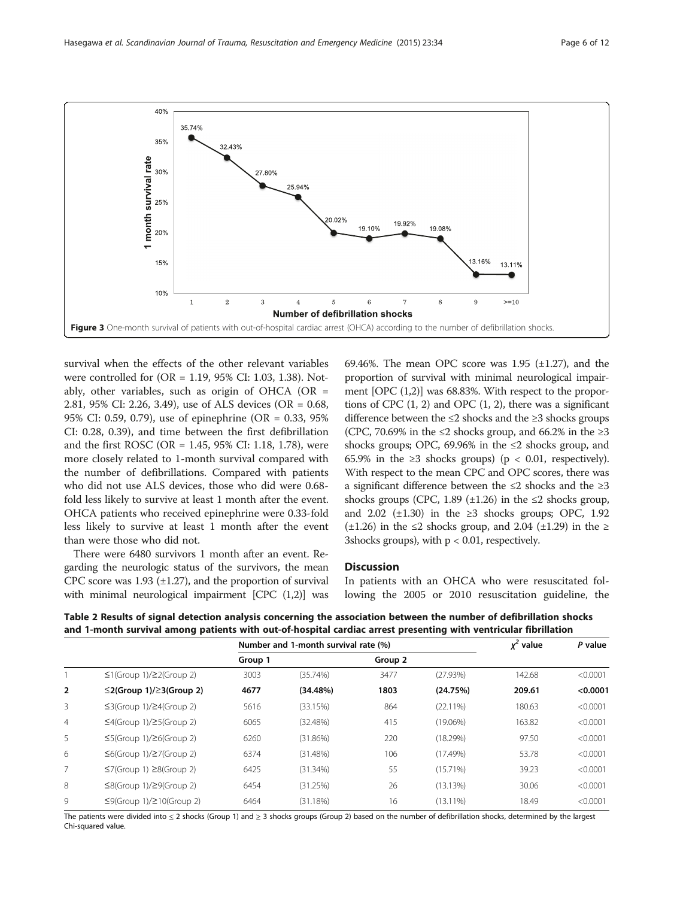<span id="page-5-0"></span>

survival when the effects of the other relevant variables were controlled for (OR = 1.19, 95% CI: 1.03, 1.38). Notably, other variables, such as origin of OHCA (OR  $=$ 2.81, 95% CI: 2.26, 3.49), use of ALS devices (OR = 0.68, 95% CI: 0.59, 0.79), use of epinephrine (OR = 0.33, 95% CI: 0.28, 0.39), and time between the first defibrillation and the first ROSC (OR = 1.45, 95% CI: 1.18, 1.78), were more closely related to 1-month survival compared with the number of defibrillations. Compared with patients who did not use ALS devices, those who did were 0.68 fold less likely to survive at least 1 month after the event. OHCA patients who received epinephrine were 0.33-fold less likely to survive at least 1 month after the event than were those who did not.

There were 6480 survivors 1 month after an event. Regarding the neurologic status of the survivors, the mean CPC score was  $1.93$  ( $\pm 1.27$ ), and the proportion of survival with minimal neurological impairment [CPC  $(1,2)$ ] was 69.46%. The mean OPC score was 1.95  $(\pm 1.27)$ , and the proportion of survival with minimal neurological impairment [OPC (1,2)] was 68.83%. With respect to the proportions of CPC  $(1, 2)$  and OPC  $(1, 2)$ , there was a significant difference between the ≤2 shocks and the ≥3 shocks groups (CPC, 70.69% in the ≤2 shocks group, and 66.2% in the ≥3 shocks groups; OPC, 69.96% in the  $\leq 2$  shocks group, and 65.9% in the  $\geq$ 3 shocks groups) (p < 0.01, respectively). With respect to the mean CPC and OPC scores, there was a significant difference between the ≤2 shocks and the ≥3 shocks groups (CPC, 1.89  $(\pm 1.26)$  in the  $\leq 2$  shocks group, and 2.02 ( $\pm$ 1.30) in the ≥3 shocks groups; OPC, 1.92  $(\pm 1.26)$  in the ≤2 shocks group, and 2.04 ( $\pm 1.29$ ) in the ≥ 3shocks groups), with  $p < 0.01$ , respectively.

## **Discussion**

In patients with an OHCA who were resuscitated following the 2005 or 2010 resuscitation guideline, the

Table 2 Results of signal detection analysis concerning the association between the number of defibrillation shocks and 1-month survival among patients with out-of-hospital cardiac arrest presenting with ventricular fibrillation

|                |                                        | Number and 1-month survival rate (%) |             |         |             | $x^2$ value | P value  |
|----------------|----------------------------------------|--------------------------------------|-------------|---------|-------------|-------------|----------|
|                |                                        | Group 1                              |             | Group 2 |             |             |          |
|                | $\leq$ 1(Group 1)/ $\geq$ 2(Group 2)   | 3003                                 | (35.74%)    | 3477    | (27.93%)    | 142.68      | < 0.0001 |
| $\overline{2}$ | $\leq$ 2(Group 1)/ $\geq$ 3(Group 2)   | 4677                                 | (34.48%)    | 1803    | (24.75%)    | 209.61      | < 0.0001 |
| $\overline{3}$ | $\leq$ 3(Group 1)/ $\geq$ 4(Group 2)   | 5616                                 | (33.15%)    | 864     | $(22.11\%)$ | 180.63      | < 0.0001 |
| $\overline{4}$ | $\leq$ 4(Group 1)/ $\geq$ 5(Group 2)   | 6065                                 | (32.48%)    | 415     | $(19.06\%)$ | 163.82      | < 0.0001 |
| 5              | $\leq$ 5(Group 1)/ $\geq$ 6(Group 2)   | 6260                                 | (31.86%)    | 220     | (18.29%)    | 97.50       | < 0.0001 |
| 6              | $\leq 6$ (Group 1)/ $\geq 7$ (Group 2) | 6374                                 | (31.48%)    | 106     | (17.49%)    | 53.78       | < 0.0001 |
| 7              | $\leq$ 7(Group 1) $\geq$ 8(Group 2)    | 6425                                 | $(31.34\%)$ | 55      | $(15.71\%)$ | 39.23       | < 0.0001 |
| 8              | $\leq$ 8(Group 1)/ $\geq$ 9(Group 2)   | 6454                                 | (31.25%)    | 26      | (13.13%)    | 30.06       | < 0.0001 |
| 9              | $\leq$ 9(Group 1)/ $\geq$ 10(Group 2)  | 6464                                 | (31.18%)    | 16      | $(13.11\%)$ | 18.49       | < 0.0001 |

The patients were divided into ≤ 2 shocks (Group 1) and ≥ 3 shocks groups (Group 2) based on the number of defibrillation shocks, determined by the largest Chi-squared value.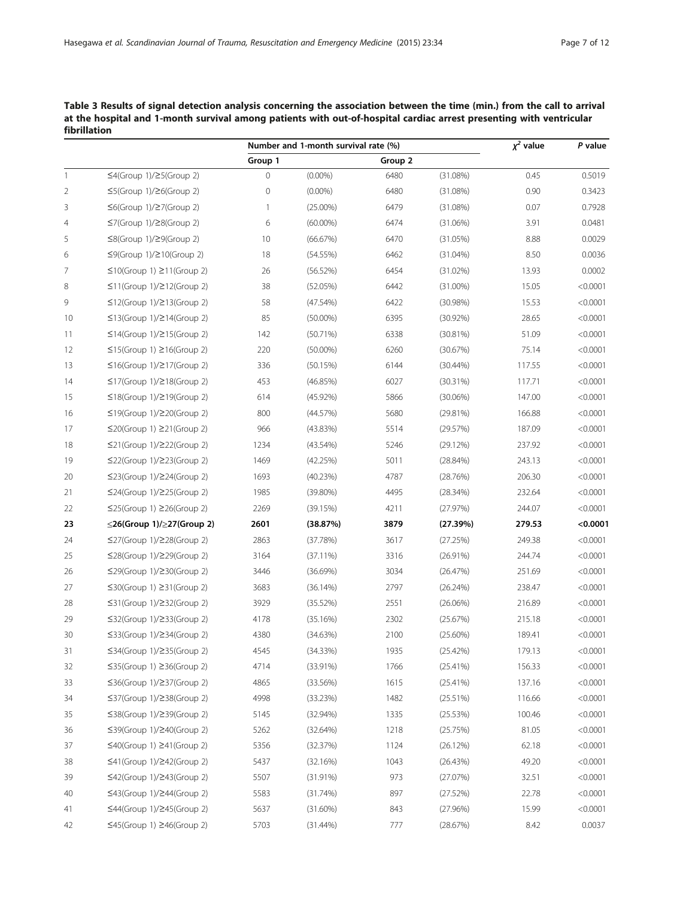<span id="page-6-0"></span>Table 3 Results of signal detection analysis concerning the association between the time (min.) from the call to arrival at the hospital and 1-month survival among patients with out-of-hospital cardiac arrest presenting with ventricular fibrillation

| Group 1<br>Group 2<br>$\leq$ 4(Group 1)/ $\geq$ 5(Group 2)<br>0<br>0.5019<br>$(0.00\%)$<br>6480<br>(31.08%)<br>0.45<br>0<br>$(0.00\%)$<br>6480<br>0.90<br>2<br>$\leq$ 5(Group 1)/ $\geq$ 6(Group 2)<br>(31.08%)<br>0.3423<br>3<br>$\leq 6$ (Group 1)/ $\geq 7$ (Group 2)<br>1<br>$(25.00\%)$<br>6479<br>(31.08%)<br>0.07<br>0.7928<br>6474<br>$\leq$ 7(Group 1)/ $\geq$ 8(Group 2)<br>6<br>$(60.00\%)$<br>(31.06%)<br>3.91<br>0.0481<br>10<br>6470<br>8.88<br>0.0029<br>5<br>$\leq$ 8(Group 1)/ $\geq$ 9(Group 2)<br>(66.67%)<br>(31.05%)<br>18<br>8.50<br>6<br>$\leq$ 9(Group 1)/ $\geq$ 10(Group 2)<br>(54.55%)<br>6462<br>$(31.04\%)$<br>0.0036<br>6454<br>$\leq$ 10(Group 1) $\geq$ 11(Group 2)<br>26<br>(56.52%)<br>(31.02%)<br>13.93<br>0.0002<br>38<br>$\leq$ 11(Group 1)/ $\geq$ 12(Group 2)<br>(52.05%)<br>6442<br>$(31.00\%)$<br>15.05<br>< 0.0001<br>9<br>58<br>$\leq$ 12(Group 1)/ $\geq$ 13(Group 2)<br>(47.54%)<br>6422<br>(30.98%)<br>15.53<br>< 0.0001<br>85<br>6395<br>10<br>$\leq$ 13(Group 1)/ $\geq$ 14(Group 2)<br>$(50.00\%)$<br>$(30.92\%)$<br>28.65<br>< 0.0001<br>6338<br>51.09<br>$\leq$ 14(Group 1)/ $\geq$ 15(Group 2)<br>142<br>(30.81%)<br>< 0.0001<br>11<br>(50.71%)<br>12<br>$\leq$ 15(Group 1) $\geq$ 16(Group 2)<br>220<br>$(50.00\%)$<br>6260<br>(30.67%)<br>75.14<br>< 0.0001<br>336<br>6144<br>13<br>$\leq$ 16(Group 1)/ $\geq$ 17(Group 2)<br>(50.15%)<br>$(30.44\%)$<br>117.55<br>< 0.0001<br>453<br>6027<br>< 0.0001<br>14<br>$\leq$ 17(Group 1)/ $\geq$ 18(Group 2)<br>(46.85%)<br>$(30.31\%)$<br>117.71<br>15<br>$\leq$ 18(Group 1)/ $\geq$ 19(Group 2)<br>614<br>$(45.92\%)$<br>5866<br>$(30.06\%)$<br>147.00<br>< 0.0001<br>5680<br>$\leq$ 19(Group 1)/ $\geq$ 20(Group 2)<br>800<br>(44.57%)<br>(29.81%)<br>166.88<br>< 0.0001<br>5514<br>17<br>$\leq$ 20(Group 1) $\geq$ 21(Group 2)<br>966<br>(43.83%)<br>(29.57%)<br>187.09<br>< 0.0001<br>18<br>$\leq$ 21(Group 1)/ $\geq$ 22(Group 2)<br>1234<br>$(43.54\%)$<br>5246<br>(29.12%)<br>237.92<br>< 0.0001<br>19<br>$\leq$ 22(Group 1)/ $\geq$ 23(Group 2)<br>1469<br>(42.25%)<br>5011<br>(28.84%)<br>243.13<br>< 0.0001<br>20<br>$\leq$ 23(Group 1)/ $\geq$ 24(Group 2)<br>1693<br>(40.23%)<br>4787<br>(28.76%)<br>206.30<br>< 0.0001<br>21<br>$\leq$ 24(Group 1)/ $\geq$ 25(Group 2)<br>1985<br>$(39.80\%)$<br>4495<br>(28.34%)<br>232.64<br>< 0.0001<br>4211<br>22<br>$\leq$ 25(Group 1) $\geq$ 26(Group 2)<br>2269<br>(39.15%)<br>(27.97%)<br>244.07<br>< 0.0001<br>2601<br>3879<br>$\leq$ 26(Group 1)/ $\geq$ 27(Group 2)<br>(38.87%)<br>279.53<br>< 0.0001<br>23<br>(27.39%)<br>24<br>$\leq$ 27(Group 1)/ $\geq$ 28(Group 2)<br>2863<br>(37.78%)<br>3617<br>(27.25%)<br>249.38<br>< 0.0001<br>3164<br>3316<br>< 0.0001<br>$\leq$ 28(Group 1)/ $\geq$ 29(Group 2)<br>(37.11%)<br>(26.91%)<br>244.74<br>3034<br>26<br>$\leq$ 29(Group 1)/ $\geq$ 30(Group 2)<br>3446<br>(36.69%)<br>(26.47%)<br>251.69<br>< 0.0001<br>27<br>$\leq$ 30(Group 1) $\geq$ 31(Group 2)<br>3683<br>(36.14%)<br>2797<br>(26.24%)<br>238.47<br>< 0.0001<br>3929<br>2551<br>28<br>$\leq$ 31(Group 1)/ $\geq$ 32(Group 2)<br>(35.52%)<br>(26.06%)<br>216.89<br>< 0.0001<br>4178<br>2302<br>29<br>$\leq$ 32(Group 1)/ $\geq$ 33(Group 2)<br>(35.16%)<br>(25.67%)<br>215.18<br>< 0.0001<br>30<br>$\leq$ 33(Group 1)/ $\geq$ 34(Group 2)<br>4380<br>(34.63%)<br>2100<br>$(25.60\%)$<br>189.41<br>< 0.0001<br>31<br>≤34(Group 1)/≥35(Group 2)<br>4545<br>(34.33%)<br>1935<br>(25.42%)<br>179.13<br>< 0.0001<br>4714<br>156.33<br>< 0.0001<br>$\leq$ 35(Group 1) $\geq$ 36(Group 2)<br>$(33.91\%)$<br>1766<br>$(25.41\%)$<br>1615<br>137.16<br>33<br>$\leq$ 36(Group 1)/ $\geq$ 37(Group 2)<br>4865<br>(33.56%)<br>(25.41%)<br>< 0.0001<br>$\leq$ 37(Group 1)/ $\geq$ 38(Group 2)<br>4998<br>1482<br>116.66<br>< 0.0001<br>34<br>(33.23%)<br>(25.51%)<br>35<br>$\leq$ 38(Group 1)/ $\geq$ 39(Group 2)<br>5145<br>(32.94%)<br>1335<br>100.46<br>< 0.0001<br>(25.53%)<br>36<br>$\leq$ 39(Group 1)/ $\geq$ 40(Group 2)<br>5262<br>1218<br>(25.75%)<br>81.05<br>< 0.0001<br>(32.64%)<br>37<br>$\leq 40$ (Group 1) $\geq 41$ (Group 2)<br>5356<br>1124<br>62.18<br>< 0.0001<br>(32.37%)<br>(26.12%)<br>5437<br>< 0.0001<br>38<br>$\leq$ 41(Group 1)/ $\geq$ 42(Group 2)<br>1043<br>(26.43%)<br>49.20<br>(32.16%) |                |                                 | Number and 1-month survival rate (%) |          |     | $\chi^2$ value | P value |          |  |
|--------------------------------------------------------------------------------------------------------------------------------------------------------------------------------------------------------------------------------------------------------------------------------------------------------------------------------------------------------------------------------------------------------------------------------------------------------------------------------------------------------------------------------------------------------------------------------------------------------------------------------------------------------------------------------------------------------------------------------------------------------------------------------------------------------------------------------------------------------------------------------------------------------------------------------------------------------------------------------------------------------------------------------------------------------------------------------------------------------------------------------------------------------------------------------------------------------------------------------------------------------------------------------------------------------------------------------------------------------------------------------------------------------------------------------------------------------------------------------------------------------------------------------------------------------------------------------------------------------------------------------------------------------------------------------------------------------------------------------------------------------------------------------------------------------------------------------------------------------------------------------------------------------------------------------------------------------------------------------------------------------------------------------------------------------------------------------------------------------------------------------------------------------------------------------------------------------------------------------------------------------------------------------------------------------------------------------------------------------------------------------------------------------------------------------------------------------------------------------------------------------------------------------------------------------------------------------------------------------------------------------------------------------------------------------------------------------------------------------------------------------------------------------------------------------------------------------------------------------------------------------------------------------------------------------------------------------------------------------------------------------------------------------------------------------------------------------------------------------------------------------------------------------------------------------------------------------------------------------------------------------------------------------------------------------------------------------------------------------------------------------------------------------------------------------------------------------------------------------------------------------------------------------------------------------------------------------------------------------------------------------------------------------------------------------------------------------------------------------------------------------------------------------------------------------------------------------------------------------------------------------------------------------------------------------------------------------------------------------------------------------------------------------------------------------------------------------------------------------------------------------------------------------------------------------------------------------------------------------------------------------------------------------|----------------|---------------------------------|--------------------------------------|----------|-----|----------------|---------|----------|--|
|                                                                                                                                                                                                                                                                                                                                                                                                                                                                                                                                                                                                                                                                                                                                                                                                                                                                                                                                                                                                                                                                                                                                                                                                                                                                                                                                                                                                                                                                                                                                                                                                                                                                                                                                                                                                                                                                                                                                                                                                                                                                                                                                                                                                                                                                                                                                                                                                                                                                                                                                                                                                                                                                                                                                                                                                                                                                                                                                                                                                                                                                                                                                                                                                                                                                                                                                                                                                                                                                                                                                                                                                                                                                                                                                                                                                                                                                                                                                                                                                                                                                                                                                                                                                                                                                                |                |                                 |                                      |          |     |                |         |          |  |
|                                                                                                                                                                                                                                                                                                                                                                                                                                                                                                                                                                                                                                                                                                                                                                                                                                                                                                                                                                                                                                                                                                                                                                                                                                                                                                                                                                                                                                                                                                                                                                                                                                                                                                                                                                                                                                                                                                                                                                                                                                                                                                                                                                                                                                                                                                                                                                                                                                                                                                                                                                                                                                                                                                                                                                                                                                                                                                                                                                                                                                                                                                                                                                                                                                                                                                                                                                                                                                                                                                                                                                                                                                                                                                                                                                                                                                                                                                                                                                                                                                                                                                                                                                                                                                                                                | $\mathbf{1}$   |                                 |                                      |          |     |                |         |          |  |
|                                                                                                                                                                                                                                                                                                                                                                                                                                                                                                                                                                                                                                                                                                                                                                                                                                                                                                                                                                                                                                                                                                                                                                                                                                                                                                                                                                                                                                                                                                                                                                                                                                                                                                                                                                                                                                                                                                                                                                                                                                                                                                                                                                                                                                                                                                                                                                                                                                                                                                                                                                                                                                                                                                                                                                                                                                                                                                                                                                                                                                                                                                                                                                                                                                                                                                                                                                                                                                                                                                                                                                                                                                                                                                                                                                                                                                                                                                                                                                                                                                                                                                                                                                                                                                                                                |                |                                 |                                      |          |     |                |         |          |  |
|                                                                                                                                                                                                                                                                                                                                                                                                                                                                                                                                                                                                                                                                                                                                                                                                                                                                                                                                                                                                                                                                                                                                                                                                                                                                                                                                                                                                                                                                                                                                                                                                                                                                                                                                                                                                                                                                                                                                                                                                                                                                                                                                                                                                                                                                                                                                                                                                                                                                                                                                                                                                                                                                                                                                                                                                                                                                                                                                                                                                                                                                                                                                                                                                                                                                                                                                                                                                                                                                                                                                                                                                                                                                                                                                                                                                                                                                                                                                                                                                                                                                                                                                                                                                                                                                                |                |                                 |                                      |          |     |                |         |          |  |
|                                                                                                                                                                                                                                                                                                                                                                                                                                                                                                                                                                                                                                                                                                                                                                                                                                                                                                                                                                                                                                                                                                                                                                                                                                                                                                                                                                                                                                                                                                                                                                                                                                                                                                                                                                                                                                                                                                                                                                                                                                                                                                                                                                                                                                                                                                                                                                                                                                                                                                                                                                                                                                                                                                                                                                                                                                                                                                                                                                                                                                                                                                                                                                                                                                                                                                                                                                                                                                                                                                                                                                                                                                                                                                                                                                                                                                                                                                                                                                                                                                                                                                                                                                                                                                                                                | $\overline{4}$ |                                 |                                      |          |     |                |         |          |  |
|                                                                                                                                                                                                                                                                                                                                                                                                                                                                                                                                                                                                                                                                                                                                                                                                                                                                                                                                                                                                                                                                                                                                                                                                                                                                                                                                                                                                                                                                                                                                                                                                                                                                                                                                                                                                                                                                                                                                                                                                                                                                                                                                                                                                                                                                                                                                                                                                                                                                                                                                                                                                                                                                                                                                                                                                                                                                                                                                                                                                                                                                                                                                                                                                                                                                                                                                                                                                                                                                                                                                                                                                                                                                                                                                                                                                                                                                                                                                                                                                                                                                                                                                                                                                                                                                                |                |                                 |                                      |          |     |                |         |          |  |
|                                                                                                                                                                                                                                                                                                                                                                                                                                                                                                                                                                                                                                                                                                                                                                                                                                                                                                                                                                                                                                                                                                                                                                                                                                                                                                                                                                                                                                                                                                                                                                                                                                                                                                                                                                                                                                                                                                                                                                                                                                                                                                                                                                                                                                                                                                                                                                                                                                                                                                                                                                                                                                                                                                                                                                                                                                                                                                                                                                                                                                                                                                                                                                                                                                                                                                                                                                                                                                                                                                                                                                                                                                                                                                                                                                                                                                                                                                                                                                                                                                                                                                                                                                                                                                                                                |                |                                 |                                      |          |     |                |         |          |  |
|                                                                                                                                                                                                                                                                                                                                                                                                                                                                                                                                                                                                                                                                                                                                                                                                                                                                                                                                                                                                                                                                                                                                                                                                                                                                                                                                                                                                                                                                                                                                                                                                                                                                                                                                                                                                                                                                                                                                                                                                                                                                                                                                                                                                                                                                                                                                                                                                                                                                                                                                                                                                                                                                                                                                                                                                                                                                                                                                                                                                                                                                                                                                                                                                                                                                                                                                                                                                                                                                                                                                                                                                                                                                                                                                                                                                                                                                                                                                                                                                                                                                                                                                                                                                                                                                                | 7              |                                 |                                      |          |     |                |         |          |  |
|                                                                                                                                                                                                                                                                                                                                                                                                                                                                                                                                                                                                                                                                                                                                                                                                                                                                                                                                                                                                                                                                                                                                                                                                                                                                                                                                                                                                                                                                                                                                                                                                                                                                                                                                                                                                                                                                                                                                                                                                                                                                                                                                                                                                                                                                                                                                                                                                                                                                                                                                                                                                                                                                                                                                                                                                                                                                                                                                                                                                                                                                                                                                                                                                                                                                                                                                                                                                                                                                                                                                                                                                                                                                                                                                                                                                                                                                                                                                                                                                                                                                                                                                                                                                                                                                                | 8              |                                 |                                      |          |     |                |         |          |  |
|                                                                                                                                                                                                                                                                                                                                                                                                                                                                                                                                                                                                                                                                                                                                                                                                                                                                                                                                                                                                                                                                                                                                                                                                                                                                                                                                                                                                                                                                                                                                                                                                                                                                                                                                                                                                                                                                                                                                                                                                                                                                                                                                                                                                                                                                                                                                                                                                                                                                                                                                                                                                                                                                                                                                                                                                                                                                                                                                                                                                                                                                                                                                                                                                                                                                                                                                                                                                                                                                                                                                                                                                                                                                                                                                                                                                                                                                                                                                                                                                                                                                                                                                                                                                                                                                                |                |                                 |                                      |          |     |                |         |          |  |
|                                                                                                                                                                                                                                                                                                                                                                                                                                                                                                                                                                                                                                                                                                                                                                                                                                                                                                                                                                                                                                                                                                                                                                                                                                                                                                                                                                                                                                                                                                                                                                                                                                                                                                                                                                                                                                                                                                                                                                                                                                                                                                                                                                                                                                                                                                                                                                                                                                                                                                                                                                                                                                                                                                                                                                                                                                                                                                                                                                                                                                                                                                                                                                                                                                                                                                                                                                                                                                                                                                                                                                                                                                                                                                                                                                                                                                                                                                                                                                                                                                                                                                                                                                                                                                                                                |                |                                 |                                      |          |     |                |         |          |  |
|                                                                                                                                                                                                                                                                                                                                                                                                                                                                                                                                                                                                                                                                                                                                                                                                                                                                                                                                                                                                                                                                                                                                                                                                                                                                                                                                                                                                                                                                                                                                                                                                                                                                                                                                                                                                                                                                                                                                                                                                                                                                                                                                                                                                                                                                                                                                                                                                                                                                                                                                                                                                                                                                                                                                                                                                                                                                                                                                                                                                                                                                                                                                                                                                                                                                                                                                                                                                                                                                                                                                                                                                                                                                                                                                                                                                                                                                                                                                                                                                                                                                                                                                                                                                                                                                                |                |                                 |                                      |          |     |                |         |          |  |
|                                                                                                                                                                                                                                                                                                                                                                                                                                                                                                                                                                                                                                                                                                                                                                                                                                                                                                                                                                                                                                                                                                                                                                                                                                                                                                                                                                                                                                                                                                                                                                                                                                                                                                                                                                                                                                                                                                                                                                                                                                                                                                                                                                                                                                                                                                                                                                                                                                                                                                                                                                                                                                                                                                                                                                                                                                                                                                                                                                                                                                                                                                                                                                                                                                                                                                                                                                                                                                                                                                                                                                                                                                                                                                                                                                                                                                                                                                                                                                                                                                                                                                                                                                                                                                                                                |                |                                 |                                      |          |     |                |         |          |  |
|                                                                                                                                                                                                                                                                                                                                                                                                                                                                                                                                                                                                                                                                                                                                                                                                                                                                                                                                                                                                                                                                                                                                                                                                                                                                                                                                                                                                                                                                                                                                                                                                                                                                                                                                                                                                                                                                                                                                                                                                                                                                                                                                                                                                                                                                                                                                                                                                                                                                                                                                                                                                                                                                                                                                                                                                                                                                                                                                                                                                                                                                                                                                                                                                                                                                                                                                                                                                                                                                                                                                                                                                                                                                                                                                                                                                                                                                                                                                                                                                                                                                                                                                                                                                                                                                                |                |                                 |                                      |          |     |                |         |          |  |
|                                                                                                                                                                                                                                                                                                                                                                                                                                                                                                                                                                                                                                                                                                                                                                                                                                                                                                                                                                                                                                                                                                                                                                                                                                                                                                                                                                                                                                                                                                                                                                                                                                                                                                                                                                                                                                                                                                                                                                                                                                                                                                                                                                                                                                                                                                                                                                                                                                                                                                                                                                                                                                                                                                                                                                                                                                                                                                                                                                                                                                                                                                                                                                                                                                                                                                                                                                                                                                                                                                                                                                                                                                                                                                                                                                                                                                                                                                                                                                                                                                                                                                                                                                                                                                                                                |                |                                 |                                      |          |     |                |         |          |  |
|                                                                                                                                                                                                                                                                                                                                                                                                                                                                                                                                                                                                                                                                                                                                                                                                                                                                                                                                                                                                                                                                                                                                                                                                                                                                                                                                                                                                                                                                                                                                                                                                                                                                                                                                                                                                                                                                                                                                                                                                                                                                                                                                                                                                                                                                                                                                                                                                                                                                                                                                                                                                                                                                                                                                                                                                                                                                                                                                                                                                                                                                                                                                                                                                                                                                                                                                                                                                                                                                                                                                                                                                                                                                                                                                                                                                                                                                                                                                                                                                                                                                                                                                                                                                                                                                                |                |                                 |                                      |          |     |                |         |          |  |
|                                                                                                                                                                                                                                                                                                                                                                                                                                                                                                                                                                                                                                                                                                                                                                                                                                                                                                                                                                                                                                                                                                                                                                                                                                                                                                                                                                                                                                                                                                                                                                                                                                                                                                                                                                                                                                                                                                                                                                                                                                                                                                                                                                                                                                                                                                                                                                                                                                                                                                                                                                                                                                                                                                                                                                                                                                                                                                                                                                                                                                                                                                                                                                                                                                                                                                                                                                                                                                                                                                                                                                                                                                                                                                                                                                                                                                                                                                                                                                                                                                                                                                                                                                                                                                                                                | 16             |                                 |                                      |          |     |                |         |          |  |
|                                                                                                                                                                                                                                                                                                                                                                                                                                                                                                                                                                                                                                                                                                                                                                                                                                                                                                                                                                                                                                                                                                                                                                                                                                                                                                                                                                                                                                                                                                                                                                                                                                                                                                                                                                                                                                                                                                                                                                                                                                                                                                                                                                                                                                                                                                                                                                                                                                                                                                                                                                                                                                                                                                                                                                                                                                                                                                                                                                                                                                                                                                                                                                                                                                                                                                                                                                                                                                                                                                                                                                                                                                                                                                                                                                                                                                                                                                                                                                                                                                                                                                                                                                                                                                                                                |                |                                 |                                      |          |     |                |         |          |  |
|                                                                                                                                                                                                                                                                                                                                                                                                                                                                                                                                                                                                                                                                                                                                                                                                                                                                                                                                                                                                                                                                                                                                                                                                                                                                                                                                                                                                                                                                                                                                                                                                                                                                                                                                                                                                                                                                                                                                                                                                                                                                                                                                                                                                                                                                                                                                                                                                                                                                                                                                                                                                                                                                                                                                                                                                                                                                                                                                                                                                                                                                                                                                                                                                                                                                                                                                                                                                                                                                                                                                                                                                                                                                                                                                                                                                                                                                                                                                                                                                                                                                                                                                                                                                                                                                                |                |                                 |                                      |          |     |                |         |          |  |
|                                                                                                                                                                                                                                                                                                                                                                                                                                                                                                                                                                                                                                                                                                                                                                                                                                                                                                                                                                                                                                                                                                                                                                                                                                                                                                                                                                                                                                                                                                                                                                                                                                                                                                                                                                                                                                                                                                                                                                                                                                                                                                                                                                                                                                                                                                                                                                                                                                                                                                                                                                                                                                                                                                                                                                                                                                                                                                                                                                                                                                                                                                                                                                                                                                                                                                                                                                                                                                                                                                                                                                                                                                                                                                                                                                                                                                                                                                                                                                                                                                                                                                                                                                                                                                                                                |                |                                 |                                      |          |     |                |         |          |  |
|                                                                                                                                                                                                                                                                                                                                                                                                                                                                                                                                                                                                                                                                                                                                                                                                                                                                                                                                                                                                                                                                                                                                                                                                                                                                                                                                                                                                                                                                                                                                                                                                                                                                                                                                                                                                                                                                                                                                                                                                                                                                                                                                                                                                                                                                                                                                                                                                                                                                                                                                                                                                                                                                                                                                                                                                                                                                                                                                                                                                                                                                                                                                                                                                                                                                                                                                                                                                                                                                                                                                                                                                                                                                                                                                                                                                                                                                                                                                                                                                                                                                                                                                                                                                                                                                                |                |                                 |                                      |          |     |                |         |          |  |
|                                                                                                                                                                                                                                                                                                                                                                                                                                                                                                                                                                                                                                                                                                                                                                                                                                                                                                                                                                                                                                                                                                                                                                                                                                                                                                                                                                                                                                                                                                                                                                                                                                                                                                                                                                                                                                                                                                                                                                                                                                                                                                                                                                                                                                                                                                                                                                                                                                                                                                                                                                                                                                                                                                                                                                                                                                                                                                                                                                                                                                                                                                                                                                                                                                                                                                                                                                                                                                                                                                                                                                                                                                                                                                                                                                                                                                                                                                                                                                                                                                                                                                                                                                                                                                                                                |                |                                 |                                      |          |     |                |         |          |  |
|                                                                                                                                                                                                                                                                                                                                                                                                                                                                                                                                                                                                                                                                                                                                                                                                                                                                                                                                                                                                                                                                                                                                                                                                                                                                                                                                                                                                                                                                                                                                                                                                                                                                                                                                                                                                                                                                                                                                                                                                                                                                                                                                                                                                                                                                                                                                                                                                                                                                                                                                                                                                                                                                                                                                                                                                                                                                                                                                                                                                                                                                                                                                                                                                                                                                                                                                                                                                                                                                                                                                                                                                                                                                                                                                                                                                                                                                                                                                                                                                                                                                                                                                                                                                                                                                                |                |                                 |                                      |          |     |                |         |          |  |
|                                                                                                                                                                                                                                                                                                                                                                                                                                                                                                                                                                                                                                                                                                                                                                                                                                                                                                                                                                                                                                                                                                                                                                                                                                                                                                                                                                                                                                                                                                                                                                                                                                                                                                                                                                                                                                                                                                                                                                                                                                                                                                                                                                                                                                                                                                                                                                                                                                                                                                                                                                                                                                                                                                                                                                                                                                                                                                                                                                                                                                                                                                                                                                                                                                                                                                                                                                                                                                                                                                                                                                                                                                                                                                                                                                                                                                                                                                                                                                                                                                                                                                                                                                                                                                                                                |                |                                 |                                      |          |     |                |         |          |  |
|                                                                                                                                                                                                                                                                                                                                                                                                                                                                                                                                                                                                                                                                                                                                                                                                                                                                                                                                                                                                                                                                                                                                                                                                                                                                                                                                                                                                                                                                                                                                                                                                                                                                                                                                                                                                                                                                                                                                                                                                                                                                                                                                                                                                                                                                                                                                                                                                                                                                                                                                                                                                                                                                                                                                                                                                                                                                                                                                                                                                                                                                                                                                                                                                                                                                                                                                                                                                                                                                                                                                                                                                                                                                                                                                                                                                                                                                                                                                                                                                                                                                                                                                                                                                                                                                                |                |                                 |                                      |          |     |                |         |          |  |
|                                                                                                                                                                                                                                                                                                                                                                                                                                                                                                                                                                                                                                                                                                                                                                                                                                                                                                                                                                                                                                                                                                                                                                                                                                                                                                                                                                                                                                                                                                                                                                                                                                                                                                                                                                                                                                                                                                                                                                                                                                                                                                                                                                                                                                                                                                                                                                                                                                                                                                                                                                                                                                                                                                                                                                                                                                                                                                                                                                                                                                                                                                                                                                                                                                                                                                                                                                                                                                                                                                                                                                                                                                                                                                                                                                                                                                                                                                                                                                                                                                                                                                                                                                                                                                                                                | 25             |                                 |                                      |          |     |                |         |          |  |
|                                                                                                                                                                                                                                                                                                                                                                                                                                                                                                                                                                                                                                                                                                                                                                                                                                                                                                                                                                                                                                                                                                                                                                                                                                                                                                                                                                                                                                                                                                                                                                                                                                                                                                                                                                                                                                                                                                                                                                                                                                                                                                                                                                                                                                                                                                                                                                                                                                                                                                                                                                                                                                                                                                                                                                                                                                                                                                                                                                                                                                                                                                                                                                                                                                                                                                                                                                                                                                                                                                                                                                                                                                                                                                                                                                                                                                                                                                                                                                                                                                                                                                                                                                                                                                                                                |                |                                 |                                      |          |     |                |         |          |  |
|                                                                                                                                                                                                                                                                                                                                                                                                                                                                                                                                                                                                                                                                                                                                                                                                                                                                                                                                                                                                                                                                                                                                                                                                                                                                                                                                                                                                                                                                                                                                                                                                                                                                                                                                                                                                                                                                                                                                                                                                                                                                                                                                                                                                                                                                                                                                                                                                                                                                                                                                                                                                                                                                                                                                                                                                                                                                                                                                                                                                                                                                                                                                                                                                                                                                                                                                                                                                                                                                                                                                                                                                                                                                                                                                                                                                                                                                                                                                                                                                                                                                                                                                                                                                                                                                                |                |                                 |                                      |          |     |                |         |          |  |
|                                                                                                                                                                                                                                                                                                                                                                                                                                                                                                                                                                                                                                                                                                                                                                                                                                                                                                                                                                                                                                                                                                                                                                                                                                                                                                                                                                                                                                                                                                                                                                                                                                                                                                                                                                                                                                                                                                                                                                                                                                                                                                                                                                                                                                                                                                                                                                                                                                                                                                                                                                                                                                                                                                                                                                                                                                                                                                                                                                                                                                                                                                                                                                                                                                                                                                                                                                                                                                                                                                                                                                                                                                                                                                                                                                                                                                                                                                                                                                                                                                                                                                                                                                                                                                                                                |                |                                 |                                      |          |     |                |         |          |  |
|                                                                                                                                                                                                                                                                                                                                                                                                                                                                                                                                                                                                                                                                                                                                                                                                                                                                                                                                                                                                                                                                                                                                                                                                                                                                                                                                                                                                                                                                                                                                                                                                                                                                                                                                                                                                                                                                                                                                                                                                                                                                                                                                                                                                                                                                                                                                                                                                                                                                                                                                                                                                                                                                                                                                                                                                                                                                                                                                                                                                                                                                                                                                                                                                                                                                                                                                                                                                                                                                                                                                                                                                                                                                                                                                                                                                                                                                                                                                                                                                                                                                                                                                                                                                                                                                                |                |                                 |                                      |          |     |                |         |          |  |
|                                                                                                                                                                                                                                                                                                                                                                                                                                                                                                                                                                                                                                                                                                                                                                                                                                                                                                                                                                                                                                                                                                                                                                                                                                                                                                                                                                                                                                                                                                                                                                                                                                                                                                                                                                                                                                                                                                                                                                                                                                                                                                                                                                                                                                                                                                                                                                                                                                                                                                                                                                                                                                                                                                                                                                                                                                                                                                                                                                                                                                                                                                                                                                                                                                                                                                                                                                                                                                                                                                                                                                                                                                                                                                                                                                                                                                                                                                                                                                                                                                                                                                                                                                                                                                                                                |                |                                 |                                      |          |     |                |         |          |  |
|                                                                                                                                                                                                                                                                                                                                                                                                                                                                                                                                                                                                                                                                                                                                                                                                                                                                                                                                                                                                                                                                                                                                                                                                                                                                                                                                                                                                                                                                                                                                                                                                                                                                                                                                                                                                                                                                                                                                                                                                                                                                                                                                                                                                                                                                                                                                                                                                                                                                                                                                                                                                                                                                                                                                                                                                                                                                                                                                                                                                                                                                                                                                                                                                                                                                                                                                                                                                                                                                                                                                                                                                                                                                                                                                                                                                                                                                                                                                                                                                                                                                                                                                                                                                                                                                                |                |                                 |                                      |          |     |                |         |          |  |
|                                                                                                                                                                                                                                                                                                                                                                                                                                                                                                                                                                                                                                                                                                                                                                                                                                                                                                                                                                                                                                                                                                                                                                                                                                                                                                                                                                                                                                                                                                                                                                                                                                                                                                                                                                                                                                                                                                                                                                                                                                                                                                                                                                                                                                                                                                                                                                                                                                                                                                                                                                                                                                                                                                                                                                                                                                                                                                                                                                                                                                                                                                                                                                                                                                                                                                                                                                                                                                                                                                                                                                                                                                                                                                                                                                                                                                                                                                                                                                                                                                                                                                                                                                                                                                                                                | 32             |                                 |                                      |          |     |                |         |          |  |
|                                                                                                                                                                                                                                                                                                                                                                                                                                                                                                                                                                                                                                                                                                                                                                                                                                                                                                                                                                                                                                                                                                                                                                                                                                                                                                                                                                                                                                                                                                                                                                                                                                                                                                                                                                                                                                                                                                                                                                                                                                                                                                                                                                                                                                                                                                                                                                                                                                                                                                                                                                                                                                                                                                                                                                                                                                                                                                                                                                                                                                                                                                                                                                                                                                                                                                                                                                                                                                                                                                                                                                                                                                                                                                                                                                                                                                                                                                                                                                                                                                                                                                                                                                                                                                                                                |                |                                 |                                      |          |     |                |         |          |  |
|                                                                                                                                                                                                                                                                                                                                                                                                                                                                                                                                                                                                                                                                                                                                                                                                                                                                                                                                                                                                                                                                                                                                                                                                                                                                                                                                                                                                                                                                                                                                                                                                                                                                                                                                                                                                                                                                                                                                                                                                                                                                                                                                                                                                                                                                                                                                                                                                                                                                                                                                                                                                                                                                                                                                                                                                                                                                                                                                                                                                                                                                                                                                                                                                                                                                                                                                                                                                                                                                                                                                                                                                                                                                                                                                                                                                                                                                                                                                                                                                                                                                                                                                                                                                                                                                                |                |                                 |                                      |          |     |                |         |          |  |
|                                                                                                                                                                                                                                                                                                                                                                                                                                                                                                                                                                                                                                                                                                                                                                                                                                                                                                                                                                                                                                                                                                                                                                                                                                                                                                                                                                                                                                                                                                                                                                                                                                                                                                                                                                                                                                                                                                                                                                                                                                                                                                                                                                                                                                                                                                                                                                                                                                                                                                                                                                                                                                                                                                                                                                                                                                                                                                                                                                                                                                                                                                                                                                                                                                                                                                                                                                                                                                                                                                                                                                                                                                                                                                                                                                                                                                                                                                                                                                                                                                                                                                                                                                                                                                                                                |                |                                 |                                      |          |     |                |         |          |  |
|                                                                                                                                                                                                                                                                                                                                                                                                                                                                                                                                                                                                                                                                                                                                                                                                                                                                                                                                                                                                                                                                                                                                                                                                                                                                                                                                                                                                                                                                                                                                                                                                                                                                                                                                                                                                                                                                                                                                                                                                                                                                                                                                                                                                                                                                                                                                                                                                                                                                                                                                                                                                                                                                                                                                                                                                                                                                                                                                                                                                                                                                                                                                                                                                                                                                                                                                                                                                                                                                                                                                                                                                                                                                                                                                                                                                                                                                                                                                                                                                                                                                                                                                                                                                                                                                                |                |                                 |                                      |          |     |                |         |          |  |
|                                                                                                                                                                                                                                                                                                                                                                                                                                                                                                                                                                                                                                                                                                                                                                                                                                                                                                                                                                                                                                                                                                                                                                                                                                                                                                                                                                                                                                                                                                                                                                                                                                                                                                                                                                                                                                                                                                                                                                                                                                                                                                                                                                                                                                                                                                                                                                                                                                                                                                                                                                                                                                                                                                                                                                                                                                                                                                                                                                                                                                                                                                                                                                                                                                                                                                                                                                                                                                                                                                                                                                                                                                                                                                                                                                                                                                                                                                                                                                                                                                                                                                                                                                                                                                                                                |                |                                 |                                      |          |     |                |         |          |  |
|                                                                                                                                                                                                                                                                                                                                                                                                                                                                                                                                                                                                                                                                                                                                                                                                                                                                                                                                                                                                                                                                                                                                                                                                                                                                                                                                                                                                                                                                                                                                                                                                                                                                                                                                                                                                                                                                                                                                                                                                                                                                                                                                                                                                                                                                                                                                                                                                                                                                                                                                                                                                                                                                                                                                                                                                                                                                                                                                                                                                                                                                                                                                                                                                                                                                                                                                                                                                                                                                                                                                                                                                                                                                                                                                                                                                                                                                                                                                                                                                                                                                                                                                                                                                                                                                                |                |                                 |                                      |          |     |                |         |          |  |
|                                                                                                                                                                                                                                                                                                                                                                                                                                                                                                                                                                                                                                                                                                                                                                                                                                                                                                                                                                                                                                                                                                                                                                                                                                                                                                                                                                                                                                                                                                                                                                                                                                                                                                                                                                                                                                                                                                                                                                                                                                                                                                                                                                                                                                                                                                                                                                                                                                                                                                                                                                                                                                                                                                                                                                                                                                                                                                                                                                                                                                                                                                                                                                                                                                                                                                                                                                                                                                                                                                                                                                                                                                                                                                                                                                                                                                                                                                                                                                                                                                                                                                                                                                                                                                                                                | 39             | $\leq$ 42(Group 1)/243(Group 2) | 5507                                 | (31.91%) | 973 | (27.07%)       | 32.51   | < 0.0001 |  |
| $\leq$ 43(Group 1)/ $\geq$ 44(Group 2)<br>5583<br>897<br>22.78<br>< 0.0001<br>40<br>(31.74%)<br>(27.52%)                                                                                                                                                                                                                                                                                                                                                                                                                                                                                                                                                                                                                                                                                                                                                                                                                                                                                                                                                                                                                                                                                                                                                                                                                                                                                                                                                                                                                                                                                                                                                                                                                                                                                                                                                                                                                                                                                                                                                                                                                                                                                                                                                                                                                                                                                                                                                                                                                                                                                                                                                                                                                                                                                                                                                                                                                                                                                                                                                                                                                                                                                                                                                                                                                                                                                                                                                                                                                                                                                                                                                                                                                                                                                                                                                                                                                                                                                                                                                                                                                                                                                                                                                                       |                |                                 |                                      |          |     |                |         |          |  |
| $\leq$ 44(Group 1)/ $\geq$ 45(Group 2)<br>5637<br>15.99<br>< 0.0001<br>(31.60%)<br>843<br>(27.96%)<br>41                                                                                                                                                                                                                                                                                                                                                                                                                                                                                                                                                                                                                                                                                                                                                                                                                                                                                                                                                                                                                                                                                                                                                                                                                                                                                                                                                                                                                                                                                                                                                                                                                                                                                                                                                                                                                                                                                                                                                                                                                                                                                                                                                                                                                                                                                                                                                                                                                                                                                                                                                                                                                                                                                                                                                                                                                                                                                                                                                                                                                                                                                                                                                                                                                                                                                                                                                                                                                                                                                                                                                                                                                                                                                                                                                                                                                                                                                                                                                                                                                                                                                                                                                                       |                |                                 |                                      |          |     |                |         |          |  |
| $\leq$ 45(Group 1) $\geq$ 46(Group 2)<br>5703<br>$(31.44\%)$<br>777<br>(28.67%)<br>8.42<br>0.0037                                                                                                                                                                                                                                                                                                                                                                                                                                                                                                                                                                                                                                                                                                                                                                                                                                                                                                                                                                                                                                                                                                                                                                                                                                                                                                                                                                                                                                                                                                                                                                                                                                                                                                                                                                                                                                                                                                                                                                                                                                                                                                                                                                                                                                                                                                                                                                                                                                                                                                                                                                                                                                                                                                                                                                                                                                                                                                                                                                                                                                                                                                                                                                                                                                                                                                                                                                                                                                                                                                                                                                                                                                                                                                                                                                                                                                                                                                                                                                                                                                                                                                                                                                              | 42             |                                 |                                      |          |     |                |         |          |  |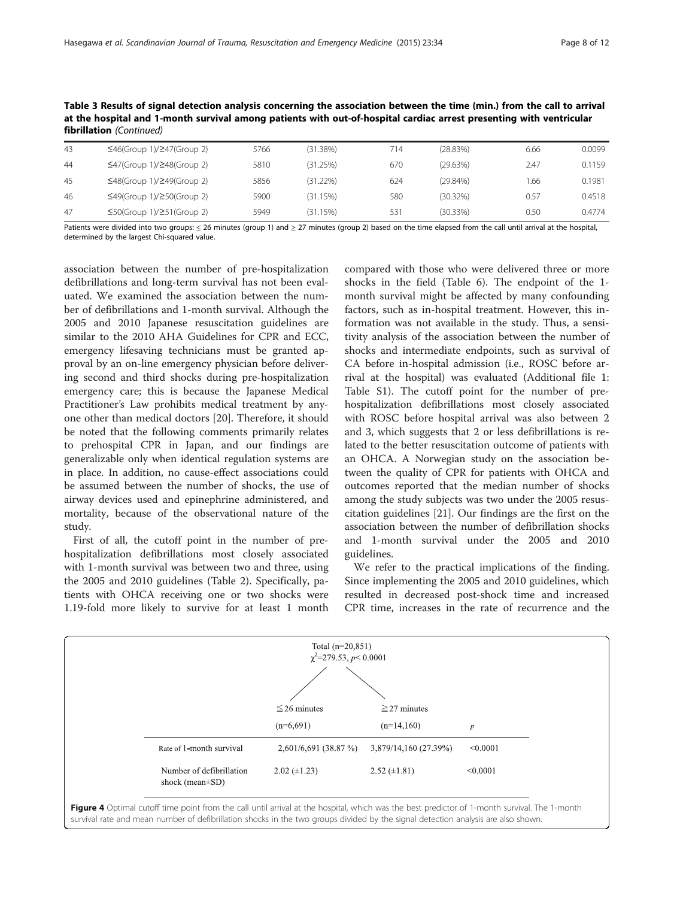| 43 | $\leq 46$ (Group 1)/247(Group 2)       | 5766 | (31.38%) | 714 | (28.83%)    | 6.66 | 0.0099 |
|----|----------------------------------------|------|----------|-----|-------------|------|--------|
| 44 | $\leq$ 47(Group 1)/248(Group 2)        | 5810 | (31.25%) | 670 | (29.63%)    | 2.47 | 0.1159 |
| 45 | $\leq$ 48(Group 1)/249(Group 2)        | 5856 | (31.22%) | 624 | (29.84%)    | 1.66 | 0.1981 |
| 46 | $\leq$ 49(Group 1)/ $\geq$ 50(Group 2) | 5900 | (31.15%) | 580 | $(30.32\%)$ | 0.57 | 0.4518 |
| 47 | $\leq$ 50(Group 1)/ $\geq$ 51(Group 2) | 5949 | (31.15%) | 531 | (30.33%)    | 0.50 | 0.4774 |

<span id="page-7-0"></span>Table 3 Results of signal detection analysis concerning the association between the time (min.) from the call to arrival at the hospital and 1-month survival among patients with out-of-hospital cardiac arrest presenting with ventricular fibrillation (Continued)

Patients were divided into two groups: < 26 minutes (group 1) and > 27 minutes (group 2) based on the time elapsed from the call until arrival at the hospital, determined by the largest Chi-squared value.

association between the number of pre-hospitalization defibrillations and long-term survival has not been evaluated. We examined the association between the number of defibrillations and 1-month survival. Although the 2005 and 2010 Japanese resuscitation guidelines are similar to the 2010 AHA Guidelines for CPR and ECC, emergency lifesaving technicians must be granted approval by an on-line emergency physician before delivering second and third shocks during pre-hospitalization emergency care; this is because the Japanese Medical Practitioner's Law prohibits medical treatment by anyone other than medical doctors [\[20](#page-11-0)]. Therefore, it should be noted that the following comments primarily relates to prehospital CPR in Japan, and our findings are generalizable only when identical regulation systems are in place. In addition, no cause-effect associations could be assumed between the number of shocks, the use of airway devices used and epinephrine administered, and mortality, because of the observational nature of the study.

First of all, the cutoff point in the number of prehospitalization defibrillations most closely associated with 1-month survival was between two and three, using the 2005 and 2010 guidelines (Table [2](#page-5-0)). Specifically, patients with OHCA receiving one or two shocks were 1.19-fold more likely to survive for at least 1 month

compared with those who were delivered three or more shocks in the field (Table [6](#page-9-0)). The endpoint of the 1 month survival might be affected by many confounding factors, such as in-hospital treatment. However, this information was not available in the study. Thus, a sensitivity analysis of the association between the number of shocks and intermediate endpoints, such as survival of CA before in-hospital admission (i.e., ROSC before arrival at the hospital) was evaluated (Additional file [1](#page-10-0): Table S1). The cutoff point for the number of prehospitalization defibrillations most closely associated with ROSC before hospital arrival was also between 2 and 3, which suggests that 2 or less defibrillations is related to the better resuscitation outcome of patients with an OHCA. A Norwegian study on the association between the quality of CPR for patients with OHCA and outcomes reported that the median number of shocks among the study subjects was two under the 2005 resuscitation guidelines [\[21\]](#page-11-0). Our findings are the first on the association between the number of defibrillation shocks and 1-month survival under the 2005 and 2010 guidelines.

We refer to the practical implications of the finding. Since implementing the 2005 and 2010 guidelines, which resulted in decreased post-shock time and increased CPR time, increases in the rate of recurrence and the



survival rate and mean number of defibrillation shocks in the two groups divided by the signal detection analysis are also shown.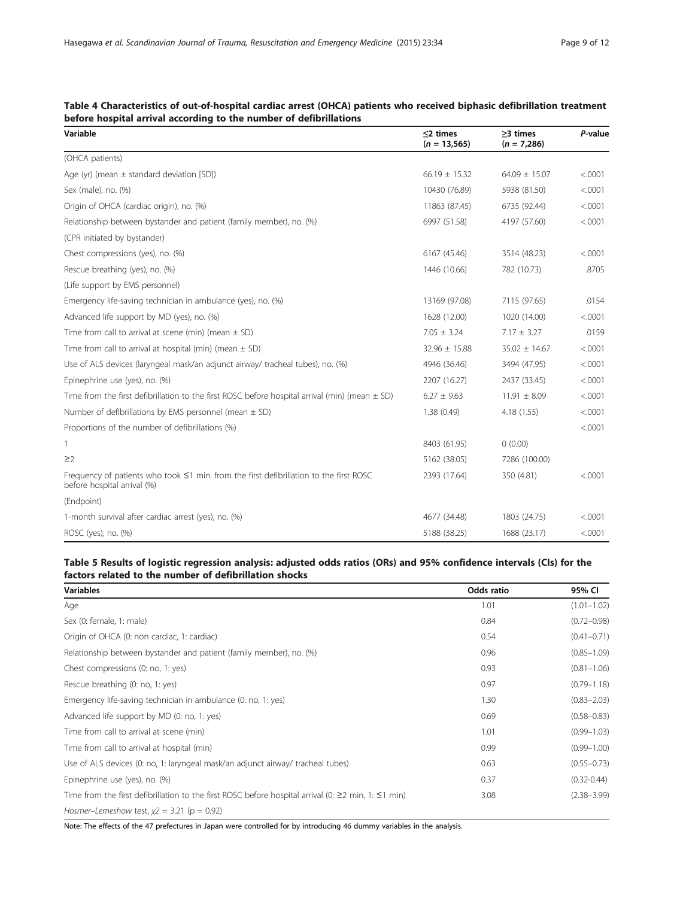| Variable                                                                                                                    | $\leq$ 2 times<br>$(n = 13, 565)$ | $\geq$ 3 times<br>$(n = 7,286)$ | P-value |
|-----------------------------------------------------------------------------------------------------------------------------|-----------------------------------|---------------------------------|---------|
| (OHCA patients)                                                                                                             |                                   |                                 |         |
| Age (yr) (mean $\pm$ standard deviation [SD])                                                                               | $66.19 \pm 15.32$                 | $64.09 \pm 15.07$               | < .0001 |
| Sex (male), no. (%)                                                                                                         | 10430 (76.89)                     | 5938 (81.50)                    | < .0001 |
| Origin of OHCA (cardiac origin), no. (%)                                                                                    | 11863 (87.45)                     | 6735 (92.44)                    | < .0001 |
| Relationship between bystander and patient (family member), no. (%)                                                         | 6997 (51.58)                      | 4197 (57.60)                    | < .0001 |
| (CPR initiated by bystander)                                                                                                |                                   |                                 |         |
| Chest compressions (yes), no. (%)                                                                                           | 6167 (45.46)                      | 3514 (48.23)                    | < .0001 |
| Rescue breathing (yes), no. (%)                                                                                             | 1446 (10.66)                      | 782 (10.73)                     | .8705   |
| (Life support by EMS personnel)                                                                                             |                                   |                                 |         |
| Emergency life-saving technician in ambulance (yes), no. (%)                                                                | 13169 (97.08)                     | 7115 (97.65)                    | .0154   |
| Advanced life support by MD (yes), no. (%)                                                                                  | 1628 (12.00)                      | 1020 (14.00)                    | < .0001 |
| Time from call to arrival at scene (min) (mean $\pm$ SD)                                                                    | $7.05 \pm 3.24$                   | $7.17 \pm 3.27$                 | .0159   |
| Time from call to arrival at hospital (min) (mean $\pm$ SD)                                                                 | $32.96 \pm 15.88$                 | $35.02 \pm 14.67$               | < .0001 |
| Use of ALS devices (laryngeal mask/an adjunct airway/ tracheal tubes), no. (%)                                              | 4946 (36.46)                      | 3494 (47.95)                    | < .0001 |
| Epinephrine use (yes), no. (%)                                                                                              | 2207 (16.27)                      | 2437 (33.45)                    | < .0001 |
| Time from the first defibrillation to the first ROSC before hospital arrival (min) (mean $\pm$ SD)                          | $6.27 \pm 9.63$                   | $11.91 \pm 8.09$                | < .0001 |
| Number of defibrillations by EMS personnel (mean $\pm$ SD)                                                                  | 1.38(0.49)                        | 4.18(1.55)                      | < .0001 |
| Proportions of the number of defibrillations (%)                                                                            |                                   |                                 | < .0001 |
| 1                                                                                                                           | 8403 (61.95)                      | 0(0.00)                         |         |
| $\geq$ 2                                                                                                                    | 5162 (38.05)                      | 7286 (100.00)                   |         |
| Frequency of patients who took $\leq$ 1 min. from the first defibrillation to the first ROSC<br>before hospital arrival (%) | 2393 (17.64)                      | 350 (4.81)                      | < .0001 |
| (Endpoint)                                                                                                                  |                                   |                                 |         |
| 1-month survival after cardiac arrest (yes), no. (%)                                                                        | 4677 (34.48)                      | 1803 (24.75)                    | < .0001 |
| ROSC (yes), no. (%)                                                                                                         | 5188 (38.25)                      | 1688 (23.17)                    | < .0001 |

## <span id="page-8-0"></span>Table 4 Characteristics of out-of-hospital cardiac arrest (OHCA) patients who received biphasic defibrillation treatment before hospital arrival according to the number of defibrillations

## Table 5 Results of logistic regression analysis: adjusted odds ratios (ORs) and 95% confidence intervals (CIs) for the factors related to the number of defibrillation shocks

| <b>Variables</b>                                                                                                | Odds ratio | 95% CI          |
|-----------------------------------------------------------------------------------------------------------------|------------|-----------------|
| Age                                                                                                             | 1.01       | $(1.01 - 1.02)$ |
| Sex (0: female, 1: male)                                                                                        | 0.84       | $(0.72 - 0.98)$ |
| Origin of OHCA (0: non cardiac, 1: cardiac)                                                                     | 0.54       | $(0.41 - 0.71)$ |
| Relationship between bystander and patient (family member), no. (%)                                             | 0.96       | $(0.85 - 1.09)$ |
| Chest compressions (0: no, 1: yes)                                                                              | 0.93       | $(0.81 - 1.06)$ |
| Rescue breathing (0: no, 1: yes)                                                                                | 0.97       | $(0.79 - 1.18)$ |
| Emergency life-saving technician in ambulance (0: no, 1: yes)                                                   | 1.30       | $(0.83 - 2.03)$ |
| Advanced life support by MD (0: no, 1: yes)                                                                     | 0.69       | $(0.58 - 0.83)$ |
| Time from call to arrival at scene (min)                                                                        | 1.01       | $(0.99 - 1.03)$ |
| Time from call to arrival at hospital (min)                                                                     | 0.99       | $(0.99 - 1.00)$ |
| Use of ALS devices (0: no, 1: laryngeal mask/an adjunct airway/ tracheal tubes)                                 | 0.63       | $(0.55 - 0.73)$ |
| Epinephrine use (yes), no. (%)                                                                                  | 0.37       | $(0.32 - 0.44)$ |
| Time from the first defibrillation to the first ROSC before hospital arrival (0: $\geq$ 2 min, 1: $\leq$ 1 min) | 3.08       | $(2.38 - 3.99)$ |
| Hosmer-Lemeshow test, $x^2 = 3.21$ ( $p = 0.92$ )                                                               |            |                 |

Note: The effects of the 47 prefectures in Japan were controlled for by introducing 46 dummy variables in the analysis.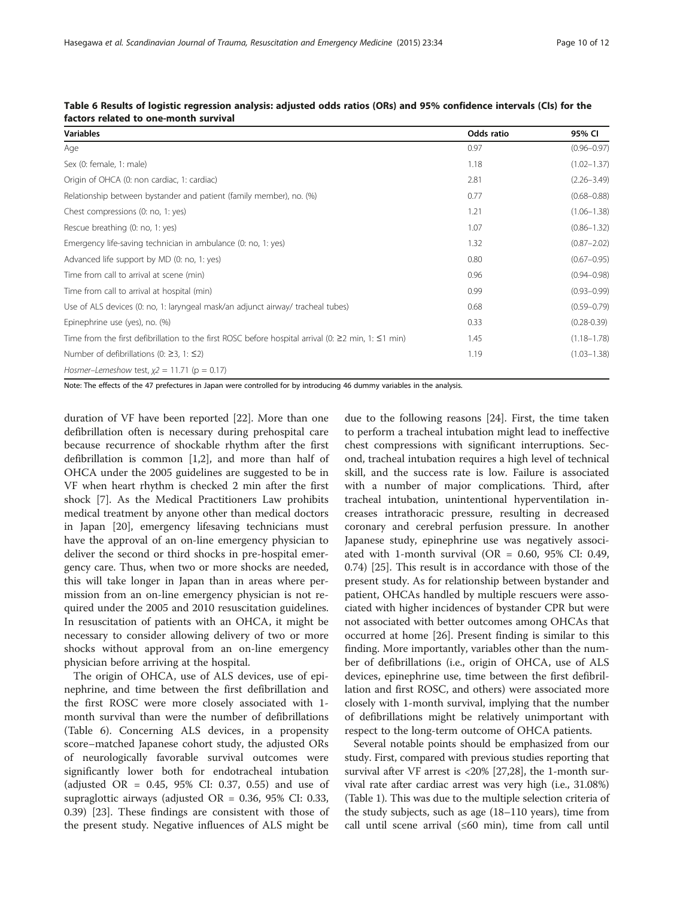| <b>Variables</b>                                                                                                | Odds ratio | 95% CI          |
|-----------------------------------------------------------------------------------------------------------------|------------|-----------------|
| Age                                                                                                             | 0.97       | $(0.96 - 0.97)$ |
| Sex (0: female, 1: male)                                                                                        | 1.18       | $(1.02 - 1.37)$ |
| Origin of OHCA (0: non cardiac, 1: cardiac)                                                                     | 2.81       | $(2.26 - 3.49)$ |
| Relationship between bystander and patient (family member), no. (%)                                             | 0.77       | $(0.68 - 0.88)$ |
| Chest compressions (0: no, 1: yes)                                                                              | 1.21       | $(1.06 - 1.38)$ |
| Rescue breathing (0: no, 1: yes)                                                                                | 1.07       | $(0.86 - 1.32)$ |
| Emergency life-saving technician in ambulance (0: no, 1: yes)                                                   | 1.32       | $(0.87 - 2.02)$ |
| Advanced life support by MD (0: no, 1: yes)                                                                     | 0.80       | $(0.67 - 0.95)$ |
| Time from call to arrival at scene (min)                                                                        | 0.96       | $(0.94 - 0.98)$ |
| Time from call to arrival at hospital (min)                                                                     | 0.99       | $(0.93 - 0.99)$ |
| Use of ALS devices (0: no, 1: laryngeal mask/an adjunct airway/ tracheal tubes)                                 | 0.68       | $(0.59 - 0.79)$ |
| Epinephrine use (yes), no. (%)                                                                                  | 0.33       | $(0.28 - 0.39)$ |
| Time from the first defibrillation to the first ROSC before hospital arrival (0: $\geq$ 2 min, 1: $\leq$ 1 min) | 1.45       | $(1.18 - 1.78)$ |
| Number of defibrillations (0: $\geq$ 3, 1: $\leq$ 2)                                                            | 1.19       | $(1.03 - 1.38)$ |
| Hosmer-Lemeshow test, $x^2 = 11.71$ (p = 0.17)                                                                  |            |                 |

<span id="page-9-0"></span>

| Table 6 Results of logistic regression analysis: adjusted odds ratios (ORs) and 95% confidence intervals (CIs) for the |  |  |  |
|------------------------------------------------------------------------------------------------------------------------|--|--|--|
| factors related to one-month survival                                                                                  |  |  |  |

Note: The effects of the 47 prefectures in Japan were controlled for by introducing 46 dummy variables in the analysis.

duration of VF have been reported [\[22\]](#page-11-0). More than one defibrillation often is necessary during prehospital care because recurrence of shockable rhythm after the first defibrillation is common [\[1,2\]](#page-11-0), and more than half of OHCA under the 2005 guidelines are suggested to be in VF when heart rhythm is checked 2 min after the first shock [\[7](#page-11-0)]. As the Medical Practitioners Law prohibits medical treatment by anyone other than medical doctors in Japan [[20](#page-11-0)], emergency lifesaving technicians must have the approval of an on-line emergency physician to deliver the second or third shocks in pre-hospital emergency care. Thus, when two or more shocks are needed, this will take longer in Japan than in areas where permission from an on-line emergency physician is not required under the 2005 and 2010 resuscitation guidelines. In resuscitation of patients with an OHCA, it might be necessary to consider allowing delivery of two or more shocks without approval from an on-line emergency physician before arriving at the hospital.

The origin of OHCA, use of ALS devices, use of epinephrine, and time between the first defibrillation and the first ROSC were more closely associated with 1 month survival than were the number of defibrillations (Table 6). Concerning ALS devices, in a propensity score–matched Japanese cohort study, the adjusted ORs of neurologically favorable survival outcomes were significantly lower both for endotracheal intubation (adjusted OR = 0.45, 95% CI: 0.37, 0.55) and use of supraglottic airways (adjusted  $OR = 0.36$ , 95% CI: 0.33, 0.39) [[23](#page-11-0)]. These findings are consistent with those of the present study. Negative influences of ALS might be

due to the following reasons [[24\]](#page-11-0). First, the time taken to perform a tracheal intubation might lead to ineffective chest compressions with significant interruptions. Second, tracheal intubation requires a high level of technical skill, and the success rate is low. Failure is associated with a number of major complications. Third, after tracheal intubation, unintentional hyperventilation increases intrathoracic pressure, resulting in decreased coronary and cerebral perfusion pressure. In another Japanese study, epinephrine use was negatively associated with 1-month survival (OR =  $0.60$ , 95% CI: 0.49, 0.74) [\[25](#page-11-0)]. This result is in accordance with those of the present study. As for relationship between bystander and patient, OHCAs handled by multiple rescuers were associated with higher incidences of bystander CPR but were not associated with better outcomes among OHCAs that occurred at home [[26](#page-11-0)]. Present finding is similar to this finding. More importantly, variables other than the number of defibrillations (i.e., origin of OHCA, use of ALS devices, epinephrine use, time between the first defibrillation and first ROSC, and others) were associated more closely with 1-month survival, implying that the number of defibrillations might be relatively unimportant with respect to the long-term outcome of OHCA patients.

Several notable points should be emphasized from our study. First, compared with previous studies reporting that survival after VF arrest is <20% [[27,28\]](#page-11-0), the 1-month survival rate after cardiac arrest was very high (i.e., 31.08%) (Table [1](#page-3-0)). This was due to the multiple selection criteria of the study subjects, such as age (18–110 years), time from call until scene arrival (≤60 min), time from call until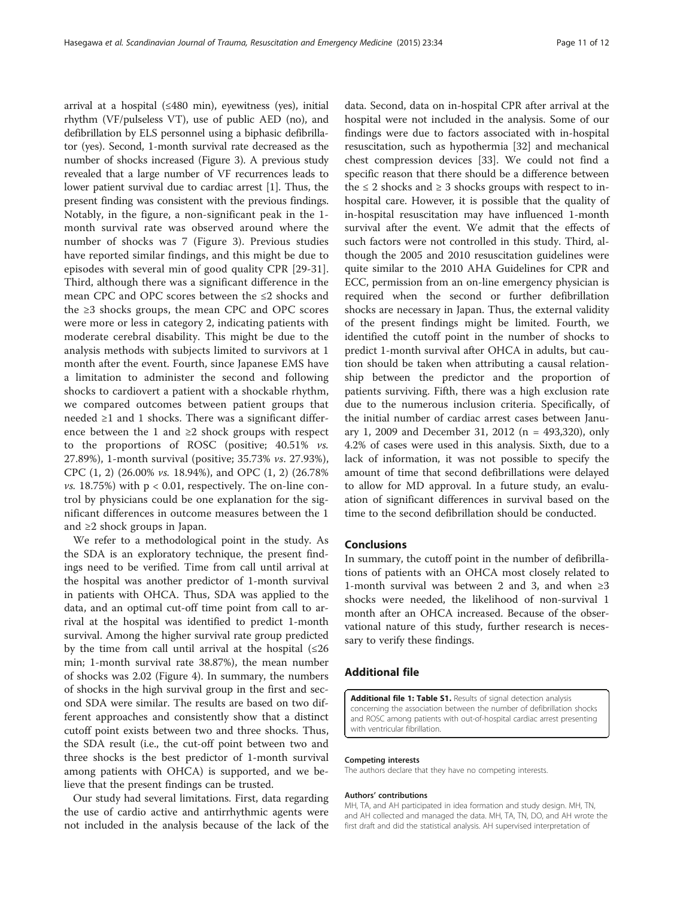<span id="page-10-0"></span>arrival at a hospital (≤480 min), eyewitness (yes), initial rhythm (VF/pulseless VT), use of public AED (no), and defibrillation by ELS personnel using a biphasic defibrillator (yes). Second, 1-month survival rate decreased as the number of shocks increased (Figure [3](#page-5-0)). A previous study revealed that a large number of VF recurrences leads to lower patient survival due to cardiac arrest [\[1](#page-11-0)]. Thus, the present finding was consistent with the previous findings. Notably, in the figure, a non-significant peak in the 1 month survival rate was observed around where the number of shocks was 7 (Figure [3\)](#page-5-0). Previous studies have reported similar findings, and this might be due to episodes with several min of good quality CPR [\[29-31](#page-11-0)]. Third, although there was a significant difference in the mean CPC and OPC scores between the ≤2 shocks and the  $\geq$ 3 shocks groups, the mean CPC and OPC scores were more or less in category 2, indicating patients with moderate cerebral disability. This might be due to the analysis methods with subjects limited to survivors at 1 month after the event. Fourth, since Japanese EMS have a limitation to administer the second and following shocks to cardiovert a patient with a shockable rhythm, we compared outcomes between patient groups that needed  $\geq 1$  and 1 shocks. There was a significant difference between the 1 and ≥2 shock groups with respect to the proportions of ROSC (positive; 40.51% vs. 27.89%), 1-month survival (positive; 35.73% vs. 27.93%), CPC (1, 2) (26.00% vs. 18.94%), and OPC (1, 2) (26.78% *vs.* 18.75%) with  $p < 0.01$ , respectively. The on-line control by physicians could be one explanation for the significant differences in outcome measures between the 1 and ≥2 shock groups in Japan.

We refer to a methodological point in the study. As the SDA is an exploratory technique, the present findings need to be verified. Time from call until arrival at the hospital was another predictor of 1-month survival in patients with OHCA. Thus, SDA was applied to the data, and an optimal cut-off time point from call to arrival at the hospital was identified to predict 1-month survival. Among the higher survival rate group predicted by the time from call until arrival at the hospital  $(\leq 26)$ min; 1-month survival rate 38.87%), the mean number of shocks was 2.02 (Figure [4](#page-7-0)). In summary, the numbers of shocks in the high survival group in the first and second SDA were similar. The results are based on two different approaches and consistently show that a distinct cutoff point exists between two and three shocks. Thus, the SDA result (i.e., the cut-off point between two and three shocks is the best predictor of 1-month survival among patients with OHCA) is supported, and we believe that the present findings can be trusted.

Our study had several limitations. First, data regarding the use of cardio active and antirrhythmic agents were not included in the analysis because of the lack of the

data. Second, data on in-hospital CPR after arrival at the hospital were not included in the analysis. Some of our findings were due to factors associated with in-hospital resuscitation, such as hypothermia [\[32](#page-11-0)] and mechanical chest compression devices [[33\]](#page-11-0). We could not find a specific reason that there should be a difference between the  $\leq 2$  shocks and  $\geq 3$  shocks groups with respect to inhospital care. However, it is possible that the quality of in-hospital resuscitation may have influenced 1-month survival after the event. We admit that the effects of such factors were not controlled in this study. Third, although the 2005 and 2010 resuscitation guidelines were quite similar to the 2010 AHA Guidelines for CPR and ECC, permission from an on-line emergency physician is required when the second or further defibrillation shocks are necessary in Japan. Thus, the external validity of the present findings might be limited. Fourth, we identified the cutoff point in the number of shocks to predict 1-month survival after OHCA in adults, but caution should be taken when attributing a causal relationship between the predictor and the proportion of patients surviving. Fifth, there was a high exclusion rate due to the numerous inclusion criteria. Specifically, of the initial number of cardiac arrest cases between January 1, 2009 and December 31, 2012 (n = 493,320), only 4.2% of cases were used in this analysis. Sixth, due to a lack of information, it was not possible to specify the amount of time that second defibrillations were delayed to allow for MD approval. In a future study, an evaluation of significant differences in survival based on the time to the second defibrillation should be conducted.

## Conclusions

In summary, the cutoff point in the number of defibrillations of patients with an OHCA most closely related to 1-month survival was between 2 and 3, and when  $\geq 3$ shocks were needed, the likelihood of non-survival 1 month after an OHCA increased. Because of the observational nature of this study, further research is necessary to verify these findings.

## Additional file

[Additional file 1: Table S1.](http://www.sjtrem.com/content/supplementary/s13049-015-0112-4-s1.docx) Results of signal detection analysis concerning the association between the number of defibrillation shocks and ROSC among patients with out-of-hospital cardiac arrest presenting with ventricular fibrillation.

#### Competing interests

The authors declare that they have no competing interests.

#### Authors' contributions

MH, TA, and AH participated in idea formation and study design. MH, TN, and AH collected and managed the data. MH, TA, TN, DO, and AH wrote the first draft and did the statistical analysis. AH supervised interpretation of